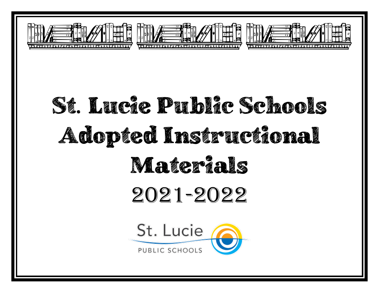

# St. Lucie Public Schools Adopted Instructional Materials 2021-2022

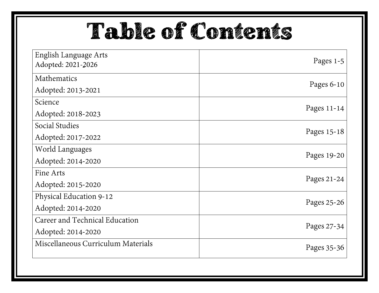## Table of Contents

| English Language Arts<br>Adopted: 2021-2026 | Pages $1-5$  |
|---------------------------------------------|--------------|
| Mathematics                                 |              |
| Adopted: 2013-2021                          | Pages $6-10$ |
| Science                                     | Pages 11-14  |
| Adopted: 2018-2023                          |              |
| Social Studies                              | Pages 15-18  |
| Adopted: 2017-2022                          |              |
| World Languages                             | Pages 19-20  |
| Adopted: 2014-2020                          |              |
| Fine Arts                                   | Pages 21-24  |
| Adopted: 2015-2020                          |              |
| Physical Education 9-12                     | Pages 25-26  |
| Adopted: 2014-2020                          |              |
| Career and Technical Education              | Pages 27-34  |
| Adopted: 2014-2020                          |              |
| Miscellaneous Curriculum Materials          | Pages 35-36  |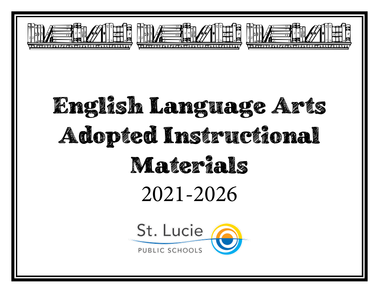

# English Language Arts Adopted Instructional Materials 2021-2026

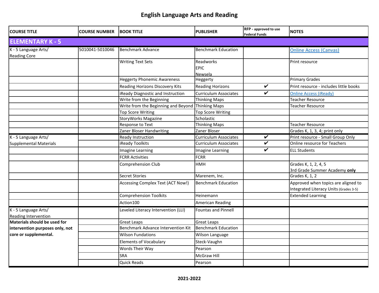| <b>COURSE TITLE</b>                          | <b>COURSE NUMBER</b> | <b>BOOK TITLE</b>                   | <b>PUBLISHER</b>                           | RFP - approved to use<br><b>Federal Funds</b> | <b>NOTES</b>                                                                  |
|----------------------------------------------|----------------------|-------------------------------------|--------------------------------------------|-----------------------------------------------|-------------------------------------------------------------------------------|
| <b>ELEMENTARY K - 5</b>                      |                      |                                     |                                            |                                               |                                                                               |
| K - 5 Language Arts/<br><b>Reading Core</b>  | 5010041-5010046      | <b>Benchmark Advance</b>            | <b>Benchmark Education</b>                 |                                               | <b>Online Access (Canvas)</b>                                                 |
|                                              |                      | <b>Writing Text Sets</b>            | Readworks<br><b>EPIC</b><br><b>Newsela</b> |                                               | Print resource                                                                |
|                                              |                      | <b>Heggerty Phonemic Awareness</b>  | Heggerty                                   |                                               | <b>Primary Grades</b>                                                         |
|                                              |                      | Reading Horizons Discovery Kits     | <b>Reading Horizons</b>                    | $\overline{\mathbf{v}}$                       | Print resource - includes little books                                        |
|                                              |                      | iReady Diagnostic and Instruction   | <b>Curriculum Associates</b>               | V                                             | <b>Online Access (iReady)</b>                                                 |
|                                              |                      | Write from the Beginning            | <b>Thinking Maps</b>                       |                                               | <b>Teacher Resource</b>                                                       |
|                                              |                      | Write from the Beginning and Beyond | Thinking Maps                              |                                               | Teacher Resource                                                              |
|                                              |                      | <b>Top Score Writing</b>            | <b>Top Score Writing</b>                   |                                               |                                                                               |
|                                              |                      | <b>StoryWorks Magazine</b>          | Scholastic                                 |                                               |                                                                               |
|                                              |                      | <b>Response to Text</b>             | <b>Thinking Maps</b>                       |                                               | <b>Teacher Resource</b>                                                       |
|                                              |                      | Zaner Bloser Handwriting            | Zaner Bloser                               |                                               | Grades K, 1, 3, 4; print only                                                 |
| K - 5 Language Arts/                         |                      | Ready Instruction                   | <b>Curriculum Associates</b>               | V                                             | Print resource - Small Group Only                                             |
| <b>Supplemental Materials</b>                |                      | iReady Toolkits                     | <b>Curriculum Associates</b>               | $\checkmark$                                  | Online resource for Teachers                                                  |
|                                              |                      | Imagine Learning                    | Imagine Learning                           | V                                             | <b>ELL Students</b>                                                           |
|                                              |                      | <b>FCRR Activities</b>              | <b>FCRR</b>                                |                                               |                                                                               |
|                                              |                      | <b>Comprehension Club</b>           | <b>HMH</b>                                 |                                               | Grades K, 1, 2, 4, 5<br>3rd Grade Summer Academy only                         |
|                                              |                      | <b>Secret Stories</b>               | Marenem, Inc.                              |                                               | Grades K, 1, 2                                                                |
|                                              |                      | Accessing Complex Text (ACT Now!)   | <b>Benchmark Education</b>                 |                                               | Approved when topics are aligned to<br>Integrated Literacy Units (Grades 3-5) |
|                                              |                      | <b>Comprehension Toolkits</b>       | Heinemann                                  |                                               | <b>Extended Learning</b>                                                      |
|                                              |                      | Action100                           | <b>American Reading</b>                    |                                               |                                                                               |
| K - 5 Language Arts/<br>Reading Intervention |                      | Leveled Literacy Intervention (LLI) | <b>Fountas and Pinnell</b>                 |                                               |                                                                               |
| Materials should be used for                 |                      | <b>Great Leaps</b>                  | <b>Great Leaps</b>                         |                                               |                                                                               |
| intervention purposes only, not              |                      | Benchmark Advance Intervention Kit  | <b>Benchmark Education</b>                 |                                               |                                                                               |
| core or supplemental.                        |                      | <b>Wilson Fundations</b>            | Wilson Language                            |                                               |                                                                               |
|                                              |                      | <b>Elements of Vocabulary</b>       | Steck-Vaughn                               |                                               |                                                                               |
|                                              |                      | Words Their Way                     | Pearson                                    |                                               |                                                                               |
|                                              |                      | SRA                                 | <b>McGraw Hill</b>                         |                                               |                                                                               |
|                                              |                      | <b>Quick Reads</b>                  | Pearson                                    |                                               |                                                                               |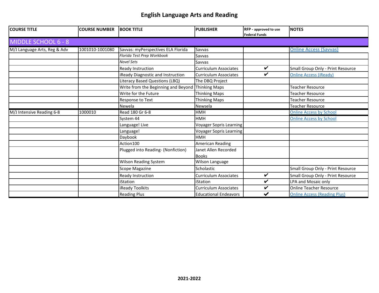| <b>COURSE TITLE</b>          | <b>COURSE NUMBER</b> | <b>BOOK TITLE</b>                   | <b>PUBLISHER</b>               | RFP - approved to use<br><b>Federal Funds</b> | <b>NOTES</b>                        |
|------------------------------|----------------------|-------------------------------------|--------------------------------|-----------------------------------------------|-------------------------------------|
| <b>MIDDLE SCHOOL 6 - 8</b>   |                      |                                     |                                |                                               |                                     |
| M/J Language Arts, Reg & Adv | 1001010-1001080      | Savvas: myPerspectives ELA Florida  | Savvas                         |                                               | <b>Online Access (Savvas)</b>       |
|                              |                      | Florida Test Prep Workbook          | Savvas                         |                                               |                                     |
|                              |                      | <b>Novel Sets</b>                   | Savvas                         |                                               |                                     |
|                              |                      | Ready Instruction                   | Curriculum Associates          | ✓                                             | Small Group Only - Print Resource   |
|                              |                      | iReady Diagnostic and Instruction   | <b>Curriculum Associates</b>   | $\checkmark$                                  | <b>Online Access (iReady)</b>       |
|                              |                      | Literacy Based Questions (LBQ)      | The DBQ Project                |                                               |                                     |
|                              |                      | Write from the Beginning and Beyond | Thinking Maps                  |                                               | Teacher Resource                    |
|                              |                      | Write for the Future                | <b>Thinking Maps</b>           |                                               | Teacher Resource                    |
|                              |                      | Response to Text                    | <b>Thinking Maps</b>           |                                               | Teacher Resource                    |
|                              |                      | Newela                              | Newsela                        |                                               | <b>Teacher Resource</b>             |
| M/J Intensive Reading 6-8    | 1000010              | Read 180 Gr 6-8                     | <b>HMH</b>                     |                                               | <b>Online Access by School</b>      |
|                              |                      | System 44                           | <b>HMH</b>                     |                                               | <b>Online Access by School</b>      |
|                              |                      | Language! Live                      | <b>Voyager Sopris Learning</b> |                                               |                                     |
|                              |                      | Language!                           | Voyager Sopris Learning        |                                               |                                     |
|                              |                      | Daybook                             | <b>HMH</b>                     |                                               |                                     |
|                              |                      | Action 100                          | <b>American Reading</b>        |                                               |                                     |
|                              |                      | Plugged into Reading- (Nonfiction)  | Janet Allen Recorded           |                                               |                                     |
|                              |                      |                                     | <b>Books</b>                   |                                               |                                     |
|                              |                      | <b>Wilson Reading System</b>        | Wilson Language                |                                               |                                     |
|                              |                      | Scope Magazine                      | Scholastic                     |                                               | Small Group Only - Print Resource   |
|                              |                      | Ready Instruction                   | <b>Curriculum Associates</b>   | ✓                                             | Small Group Only - Print Resource   |
|                              |                      | iStation                            | iStation                       | V                                             | LPA and Mosaic only                 |
|                              |                      | iReady Toolkits                     | Curriculum Associates          | ✓                                             | <b>Online Teacher Resource</b>      |
|                              |                      | <b>Reading Plus</b>                 | <b>Educational Endeavors</b>   | $\checkmark$                                  | <b>Online Access (Reading Plus)</b> |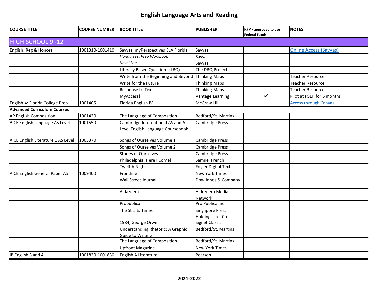| <b>COURSE TITLE</b>                | <b>COURSE NUMBER</b> | <b>BOOK TITLE</b>                        | <b>PUBLISHER</b>                           | RFP - approved to use<br><b>Federal Funds</b> | <b>NOTES</b>                  |
|------------------------------------|----------------------|------------------------------------------|--------------------------------------------|-----------------------------------------------|-------------------------------|
| HIGH SCHOOL 9-12                   |                      |                                          |                                            |                                               |                               |
| English, Reg & Honors              | 1001310-1001410      | Savvas: myPerspectives ELA Florida       | Savvas                                     |                                               | <b>Online Access (Savvas)</b> |
|                                    |                      | Florida Test Prep Workbook               | Savvas                                     |                                               |                               |
|                                    |                      | <b>Novel Sets</b>                        | Savvas                                     |                                               |                               |
|                                    |                      | Literacy Based Questions (LBQ)           | The DBQ Project                            |                                               |                               |
|                                    |                      | Write from the Beginning and Beyond      | Thinking Maps                              |                                               | Teacher Resource              |
|                                    |                      | Write for the Future                     | <b>Thinking Maps</b>                       |                                               | Teacher Resource              |
|                                    |                      | Response to Text                         | <b>Thinking Maps</b>                       |                                               | Teacher Resource              |
|                                    |                      | MyAccess!                                | Vantage Learning                           | $\checkmark$                                  | Pilot at PSLH for 6 months    |
| English 4: Florida College Prep    | 1001405              | Florida English IV                       | <b>McGraw Hill</b>                         |                                               | <b>Access through Canvas</b>  |
| <b>Advanced Curriculum Courses</b> |                      |                                          |                                            |                                               |                               |
| AP English Composition             | 1001420              | The Language of Composition              | Bedford/St. Martins                        |                                               |                               |
| AICE English Language AS Level     | 1001550              | Cambridge International AS and A         | <b>Cambridge Press</b>                     |                                               |                               |
|                                    |                      | Level English Language Coursebook        |                                            |                                               |                               |
| AICE English Literature 1 AS Level | 1005370              | Songs of Ourselves Volume 1              | Cambridge Press                            |                                               |                               |
|                                    |                      | Songs of Ourselves Volume 2              | Cambridge Press                            |                                               |                               |
|                                    |                      | <b>Stories of Ourselves</b>              | Cambridge Press                            |                                               |                               |
|                                    |                      | Philadelphia, Here I Come!               | Samuel French                              |                                               |                               |
|                                    |                      | <b>Twelfth Night</b>                     | <b>Folger Digital Text</b>                 |                                               |                               |
| AICE English General Paper AS      | 1009400              | Frontline                                | <b>New York Times</b>                      |                                               |                               |
|                                    |                      | Wall Street Journal                      | Dow Jones & Company                        |                                               |                               |
|                                    |                      | Al Jazeera                               | Al Jezeera Media<br>Network                |                                               |                               |
|                                    |                      | Propublica                               | Pro Publica Inc                            |                                               |                               |
|                                    |                      | The Straits Times                        | <b>Singapore Press</b><br>Holdings Ltd. Co |                                               |                               |
|                                    |                      | 1984, George Orwell                      | <b>Signet Classic</b>                      |                                               |                               |
|                                    |                      | <b>Understanding Rhetoric: A Graphic</b> | Bedford/St. Martins                        |                                               |                               |
|                                    |                      | Guide to Writing                         |                                            |                                               |                               |
|                                    |                      | The Language of Composition              | Bedford/St. Martins                        |                                               |                               |
|                                    |                      | <b>Upfront Magazine</b>                  | <b>New York Times</b>                      |                                               |                               |
| IB English 3 and 4                 | 1001820-1001830      | English A Literature                     | Pearson                                    |                                               |                               |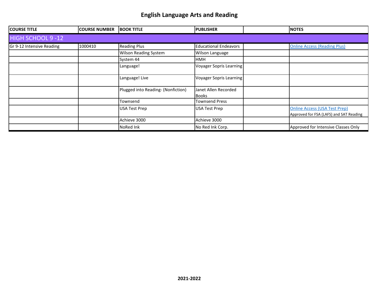| <b>COURSE TITLE</b>       | <b>COURSE NUMBER</b> | <b>BOOK TITLE</b>                  | <b>PUBLISHER</b>              | <b>NOTES</b>                                                                    |
|---------------------------|----------------------|------------------------------------|-------------------------------|---------------------------------------------------------------------------------|
| <b>HIGH SCHOOL 9-12</b>   |                      |                                    |                               |                                                                                 |
| Gr 9-12 Intensive Reading | 1000410              | <b>Reading Plus</b>                | <b>Educational Endeavors</b>  | <b>Online Access (Reading Plus)</b>                                             |
|                           |                      | <b>Wilson Reading System</b>       | <b>Wilson Language</b>        |                                                                                 |
|                           |                      | System 44                          | <b>HMH</b>                    |                                                                                 |
|                           |                      | Language!                          | Voyager Sopris Learning       |                                                                                 |
|                           |                      | Language! Live                     | Voyager Sopris Learning       |                                                                                 |
|                           |                      | Plugged into Reading- (Nonfiction) | Janet Allen Recorded<br>Books |                                                                                 |
|                           |                      | Townsend                           | <b>Townsend Press</b>         |                                                                                 |
|                           |                      | <b>USA Test Prep</b>               | <b>USA Test Prep</b>          | <b>Online Access (USA Test Prep)</b><br>Approved for FSA (LAFS) and SAT Reading |
|                           |                      | Achieve 3000                       | Achieve 3000                  |                                                                                 |
|                           |                      | NoRed Ink                          | No Red Ink Corp.              | Approved for Intensive Classes Only                                             |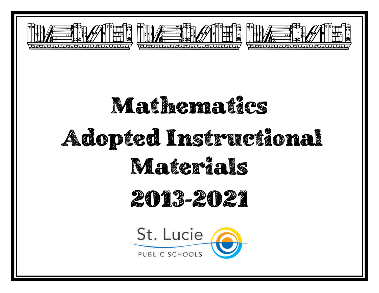





# Mathematics Adopted Instructional Materials 2013-2021

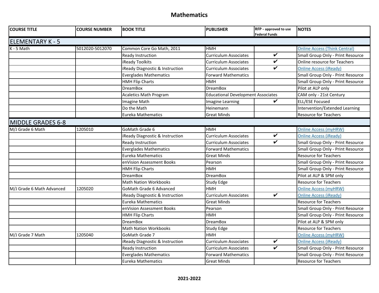| <b>COURSE TITLE</b>       | <b>COURSE NUMBER</b> | <b>BOOK TITLE</b>               | <b>PUBLISHER</b>                          | RFP - approved to use<br><b>Federal Funds</b> | <b>NOTES</b>                         |
|---------------------------|----------------------|---------------------------------|-------------------------------------------|-----------------------------------------------|--------------------------------------|
| <b>ELEMENTARY K - 5</b>   |                      |                                 |                                           |                                               |                                      |
| K - 5 Math                | 5012020-5012070      | Common Core Go Math, 2011       | <b>HMH</b>                                |                                               | <b>Online Access (Think Central)</b> |
|                           |                      | Ready Instruction               | Curriculum Associates                     | $\overline{\mathbf{v}}$                       | Small Group Only - Print Resource    |
|                           |                      | iReady Toolkits                 | Curriculum Associates                     | $\overline{\mathbf{v}}$                       | Online resource for Teachers         |
|                           |                      | iReady Diagnostic & Instruction | Curriculum Associates                     | $\checkmark$                                  | <b>Online Access (iReady)</b>        |
|                           |                      | <b>Everglades Mathematics</b>   | <b>Forward Mathematics</b>                |                                               | Small Group Only - Print Resource    |
|                           |                      | <b>HMH Flip Charts</b>          | HMH                                       |                                               | Small Group Only - Print Resource    |
|                           |                      | <b>DreamBox</b>                 | <b>DreamBox</b>                           |                                               | Pilot at ALP only                    |
|                           |                      | <b>Acaletics Math Program</b>   | <b>Educational Development Associates</b> |                                               | CAM only - 21st Century              |
|                           |                      | Imagine Math                    | Imagine Learning                          | V                                             | <b>ELL/ESE Focused</b>               |
|                           |                      | Do the Math                     | Heinemann                                 |                                               | Intervention/Extended Learning       |
|                           |                      | <b>Eureka Mathematics</b>       | <b>Great Minds</b>                        |                                               | Resource for Teachers                |
| <b>MIDDLE GRADES 6-8</b>  |                      |                                 |                                           |                                               |                                      |
| M/J Grade 6 Math          | 1205010              | GoMath Grade 6                  | <b>HMH</b>                                |                                               | <b>Online Access (myHRW)</b>         |
|                           |                      | iReady Diagnostic & Instruction | Curriculum Associates                     | $\overline{\mathbf{v}}$                       | <b>Online Access (iReady)</b>        |
|                           |                      | Ready Instruction               | Curriculum Associates                     | $\overline{\mathbf{v}}$                       | Small Group Only - Print Resource    |
|                           |                      | <b>Everglades Mathematics</b>   | <b>Forward Mathematics</b>                |                                               | Small Group Only - Print Resource    |
|                           |                      | <b>Eureka Mathematics</b>       | <b>Great Minds</b>                        |                                               | <b>Resource for Teachers</b>         |
|                           |                      | enVision Assessment Books       | Pearson                                   |                                               | Small Group Only - Print Resource    |
|                           |                      | <b>HMH Flip Charts</b>          | <b>HMH</b>                                |                                               | Small Group Only - Print Resource    |
|                           |                      | <b>DreamBox</b>                 | <b>DreamBox</b>                           |                                               | Pilot at ALP & SPM only              |
|                           |                      | <b>Math Nation Workbooks</b>    | <b>Study Edge</b>                         |                                               | <b>Resource for Teachers</b>         |
| M/J Grade 6 Math Advanced | 1205020              | <b>GoMath Grade 6 Advanced</b>  | <b>HMH</b>                                |                                               | <b>Online Access (myHRW)</b>         |
|                           |                      | iReady Diagnostic & Instruction | <b>Curriculum Associates</b>              | $\overline{\mathbf{v}}$                       | <b>Online Access (iReady)</b>        |
|                           |                      | Eureka Mathematics              | Great Minds                               |                                               | <b>Resource for Teachers</b>         |
|                           |                      | enVision Assessment Books       | Pearson                                   |                                               | Small Group Only - Print Resource    |
|                           |                      | <b>HMH Flip Charts</b>          | <b>HMH</b>                                |                                               | Small Group Only - Print Resource    |
|                           |                      | <b>DreamBox</b>                 | <b>DreamBox</b>                           |                                               | Pilot at ALP & SPM only              |
|                           |                      | <b>Math Nation Workbooks</b>    | <b>Study Edge</b>                         |                                               | <b>Resource for Teachers</b>         |
| M/J Grade 7 Math          | 1205040              | <b>GoMath Grade 7</b>           | <b>HMH</b>                                |                                               | <b>Online Access (myHRW)</b>         |
|                           |                      | iReady Diagnostic & Instruction | Curriculum Associates                     | $\overline{\mathbf{v}}$                       | <b>Online Access (iReady)</b>        |
|                           |                      | Ready Instruction               | Curriculum Associates                     | $\overline{\mathbf{v}}$                       | Small Group Only - Print Resource    |
|                           |                      | <b>Everglades Mathematics</b>   | <b>Forward Mathematics</b>                |                                               | Small Group Only - Print Resource    |
|                           |                      | <b>Eureka Mathematics</b>       | <b>Great Minds</b>                        |                                               | <b>Resource for Teachers</b>         |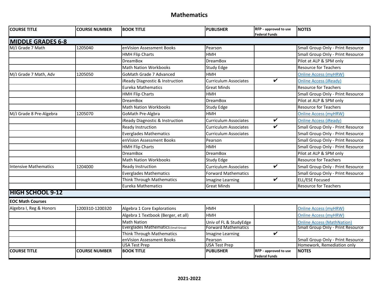| <b>COURSE TITLE</b>          | <b>COURSE NUMBER</b> | <b>BOOK TITLE</b>                    | <b>PUBLISHER</b>             | RFP - approved to use<br><b>Federal Funds</b> | <b>NOTES</b>                             |
|------------------------------|----------------------|--------------------------------------|------------------------------|-----------------------------------------------|------------------------------------------|
| <b>MIDDLE GRADES 6-8</b>     |                      |                                      |                              |                                               |                                          |
| M/J Grade 7 Math             | 1205040              | enVision Assessment Books            | Pearson                      |                                               | Small Group Only - Print Resource        |
|                              |                      | <b>HMH Flip Charts</b>               | <b>HMH</b>                   |                                               | Small Group Only - Print Resource        |
|                              |                      | <b>DreamBox</b>                      | <b>DreamBox</b>              |                                               | Pilot at ALP & SPM only                  |
|                              |                      | <b>Math Nation Workbooks</b>         | Study Edge                   |                                               | <b>Resource for Teachers</b>             |
| M/J Grade 7 Math, Adv        | 1205050              | <b>GoMath Grade 7 Advanced</b>       | <b>HMH</b>                   |                                               | <b>Online Access (myHRW)</b>             |
|                              |                      | iReady Diagnostic & Instruction      | <b>Curriculum Associates</b> | $\checkmark$                                  | <b>Online Access (iReady)</b>            |
|                              |                      | <b>Eureka Mathematics</b>            | <b>Great Minds</b>           |                                               | <b>Resource for Teachers</b>             |
|                              |                      | <b>HMH Flip Charts</b>               | <b>HMH</b>                   |                                               | Small Group Only - Print Resource        |
|                              |                      | <b>DreamBox</b>                      | <b>DreamBox</b>              |                                               | Pilot at ALP & SPM only                  |
|                              |                      | <b>Math Nation Workbooks</b>         | <b>Study Edge</b>            |                                               | <b>Resource for Teachers</b>             |
| M/J Grade 8 Pre-Algebra      | 1205070              | GoMath Pre-Algbra                    | <b>HMH</b>                   |                                               | <b>Online Access (myHRW)</b>             |
|                              |                      | iReady Diagnostic & Instruction      | <b>Curriculum Associates</b> | V                                             | <b>Online Access (iReady)</b>            |
|                              |                      | Ready Instruction                    | <b>Curriculum Associates</b> | $\boldsymbol{\nu}$                            | Small Group Only - Print Resource        |
|                              |                      | <b>Everglades Mathematics</b>        | <b>Curriculum Associates</b> |                                               | Small Group Only - Print Resource        |
|                              |                      | enVision Assessment Books            | Pearson                      |                                               | Small Group Only - Print Resource        |
|                              |                      | <b>HMH Flip Charts</b>               | <b>HMH</b>                   |                                               | Small Group Only - Print Resource        |
|                              |                      | <b>DreamBox</b>                      | <b>DreamBox</b>              |                                               | Pilot at ALP & SPM only                  |
|                              |                      | <b>Math Nation Workbooks</b>         | Study Edge                   |                                               | <b>Resource for Teachers</b>             |
| <b>Intensive Mathematics</b> | 1204000              | Ready Instruction                    | <b>Curriculum Associates</b> | $\overline{\mathbf{v}}$                       | Small Group Only - Print Resource        |
|                              |                      | <b>Everglades Mathematics</b>        | <b>Forward Mathematics</b>   |                                               | Small Group Only - Print Resource        |
|                              |                      | Think Through Mathematics            | Imagine Learning             | V                                             | <b>ELL/ESE Focused</b>                   |
|                              |                      | <b>Eureka Mathematics</b>            | <b>Great Minds</b>           |                                               | <b>Resource for Teachers</b>             |
| <b>HIGH SCHOOL 9-12</b>      |                      |                                      |                              |                                               |                                          |
| <b>EOC Math Courses</b>      |                      |                                      |                              |                                               |                                          |
| Algebra I, Reg & Honors      | 1200310-1200320      | Algebra 1 Core Explorations          | <b>HMH</b>                   |                                               | <b>Online Access (myHRW)</b>             |
|                              |                      | Algebra 1 Textbook (Berger, et all)  | <b>HMH</b>                   |                                               | <b>Online Access (myHRW)</b>             |
|                              |                      | <b>Math Nation</b>                   | Univ of FL & StudyEdge       |                                               | <b>Online Access (MathNation)</b>        |
|                              |                      | Everglades Mathematics (Small Group) | <b>Forward Mathematics</b>   |                                               | <b>Small Group Only - Print Resource</b> |
|                              |                      | Think Through Mathematics            | Imagine Learning             | $\checkmark$                                  |                                          |
|                              |                      | enVision Assessment Books            | Pearson                      |                                               | Small Group Only - Print Resource        |
|                              |                      | <b>USA Test Prep</b>                 | <b>USA Test Prep</b>         | RFP - approved to use                         | Homework, Remediation only               |
| <b>COURSE TITLE</b>          | <b>COURSE NUMBER</b> | <b>BOOK TITLE</b>                    | <b>PUBLISHER</b>             | <b>Federal Funds</b>                          | <b>NOTES</b>                             |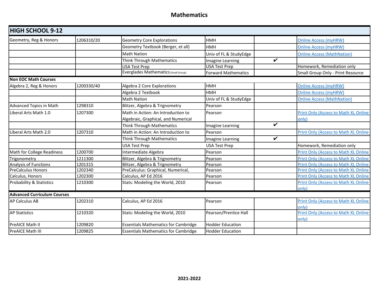| <b>HIGH SCHOOL 9-12</b>            |            |                                             |                            |                                             |  |
|------------------------------------|------------|---------------------------------------------|----------------------------|---------------------------------------------|--|
| Geometry, Reg & Honors             | 1206310/20 | <b>Geometry Core Explorations</b>           | <b>HMH</b>                 | <b>Online Access (myHRW)</b>                |  |
|                                    |            | Geometry Textbook (Berger, et all)          | <b>HMH</b>                 | <b>Online Access (myHRW)</b>                |  |
|                                    |            | <b>Math Nation</b>                          | Univ of FL & StudyEdge     | <b>Online Access (MathNation)</b>           |  |
|                                    |            | Think Through Mathematics                   | Imagine Learning           | $\checkmark$                                |  |
|                                    |            | <b>USA Test Prep</b>                        | <b>USA Test Prep</b>       | Homework, Remediation only                  |  |
|                                    |            | Everglades Mathematics (Small Group)        | <b>Forward Mathematics</b> | Small Group Only - Print Resource           |  |
| <b>Non EOC Math Courses</b>        |            |                                             |                            |                                             |  |
| Algebra 2, Reg & Honors            | 1200330/40 | Algebra 2 Core Explorations                 | <b>HMH</b>                 | <b>Online Access (myHRW)</b>                |  |
|                                    |            | Algebra 2 Textbook                          | <b>HMH</b>                 | <b>Online Access (myHRW)</b>                |  |
|                                    |            | <b>Math Nation</b>                          | Univ of FL & StudyEdge     | <b>Online Access (MathNation)</b>           |  |
| <b>Advanced Topics in Math</b>     | 1298310    | Blitzer, Algebra & Trignometry              | Pearson                    |                                             |  |
| Liberal Arts Math 1.0              | 1207300    | Math in Action: An Introduction to          | Pearson                    | Print Only (Access to Math XL Online        |  |
|                                    |            | Algebraic, Graphical, and Numerical         |                            | only)                                       |  |
|                                    |            | <b>Think Through Mathematics</b>            | Imagine Learning           | $\checkmark$                                |  |
| Liberal Arts Math 2.0              | 1207310    | Math in Action: An Introduction to          | Pearson                    | <b>Print Only (Access to Math XL Online</b> |  |
|                                    |            | Think Through Mathematics                   | Imagine Learning           | $\checkmark$                                |  |
|                                    |            | <b>USA Test Prep</b>                        | <b>USA Test Prep</b>       | Homework, Remediation only                  |  |
| Math for College Readiness         | 1200700    | Intermediate Algebra                        | Pearson                    | <b>Print Only (Access to Math XL Online</b> |  |
| Trigonometry                       | 1211300    | Blitzer, Algebra & Trignometry              | Pearson                    | Print Only (Access to Math XL Online        |  |
| Analysis of Functions              | 1201315    | Blitzer, Algebra & Trignometry              | Pearson                    | <b>Print Only (Access to Math XL Online</b> |  |
| <b>PreCalculus Honors</b>          | 1202340    | PreCalculus: Graphical, Numerical,          | Pearson                    | <b>Print Only (Access to Math XL Online</b> |  |
| Calculus, Honors                   | 1202300    | Calculus, AP Ed 2016                        | Pearson                    | Print Only (Access to Math XL Online        |  |
| Probability & Statistics           | 1210300    | Stats: Modeling the World, 2010             | Pearson                    | Print Only (Access to Math XL Online        |  |
|                                    |            |                                             |                            | only)                                       |  |
| <b>Advanced Curriculum Courses</b> |            |                                             |                            |                                             |  |
| <b>AP Calculus AB</b>              | 1202310    | Calculus, AP Ed 2016                        | Pearson                    | Print Only (Access to Math XL Online        |  |
|                                    |            |                                             |                            | only)                                       |  |
| <b>AP Statistics</b>               | 1210320    | Stats: Modeling the World, 2010             | Pearson/Prentice Hall      | Print Only (Access to Math XL Online        |  |
|                                    |            |                                             |                            | only)                                       |  |
| PreAICE Math II                    | 1209820    | <b>Essentials Mathematics for Cambridge</b> | <b>Hodder Education</b>    |                                             |  |
| PreAICE Math III                   | 1209825    | <b>Essentials Mathematics for Cambridge</b> | Hodder Education           |                                             |  |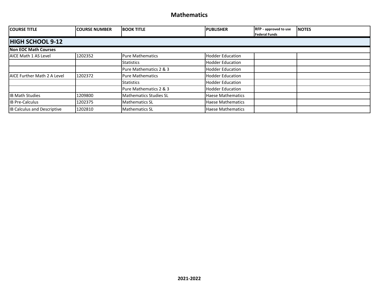| <b>COURSE TITLE</b>                | <b>COURSE NUMBER</b> | <b>BOOK TITLE</b>             | <b>IPUBLISHER</b>        | <b>RFP</b> - approved to use<br><b>Federal Funds</b> | <b>NOTES</b> |
|------------------------------------|----------------------|-------------------------------|--------------------------|------------------------------------------------------|--------------|
| <b>HIGH SCHOOL 9-12</b>            |                      |                               |                          |                                                      |              |
| <b>Non EOC Math Courses</b>        |                      |                               |                          |                                                      |              |
| AICE Math 1 AS Level               | 1202352              | <b>Pure Mathematics</b>       | <b>Hodder Education</b>  |                                                      |              |
|                                    |                      | <b>Statistics</b>             | <b>Hodder Education</b>  |                                                      |              |
|                                    |                      | Pure Mathematics 2 & 3        | <b>Hodder Education</b>  |                                                      |              |
| <b>AICE Further Math 2 A Level</b> | 1202372              | <b>Pure Mathematics</b>       | <b>Hodder Education</b>  |                                                      |              |
|                                    |                      | <b>Statistics</b>             | <b>Hodder Education</b>  |                                                      |              |
|                                    |                      | Pure Mathematics 2 & 3        | <b>Hodder Education</b>  |                                                      |              |
| <b>IB Math Studies</b>             | 1209800              | <b>Mathematics Studies SL</b> | <b>Haese Mathematics</b> |                                                      |              |
| <b>IB Pre-Calculus</b>             | 1202375              | <b>Mathematics SL</b>         | <b>Haese Mathematics</b> |                                                      |              |
| <b>IB Calculus and Descriptive</b> | 1202810              | <b>Mathematics SL</b>         | <b>Haese Mathematics</b> |                                                      |              |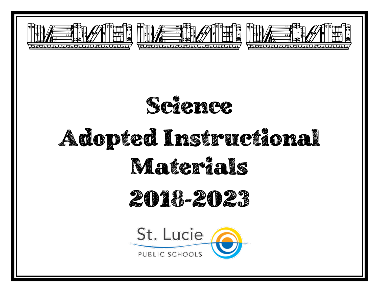





## Adopted Instructional Materials

### 2018-2023

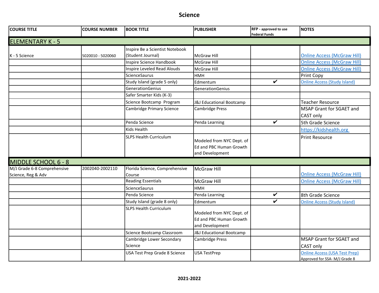| <b>COURSE TITLE</b>                               | <b>COURSE NUMBER</b> | <b>BOOK TITLE</b>                        | <b>PUBLISHER</b>                                                        | RFP - approved to use<br><b>Federal Funds</b> | <b>NOTES</b>                                                         |
|---------------------------------------------------|----------------------|------------------------------------------|-------------------------------------------------------------------------|-----------------------------------------------|----------------------------------------------------------------------|
| <b>ELEMENTARY K - 5</b>                           |                      |                                          |                                                                         |                                               |                                                                      |
|                                                   |                      | Inspire Be a Scientist Notebook          |                                                                         |                                               |                                                                      |
| K - 5 Science                                     | 5020010 - 5020060    | (Student Journal)                        | <b>McGraw Hill</b>                                                      |                                               | <b>Online Access (McGraw Hill)</b>                                   |
|                                                   |                      | Inspire Science Handbook                 | <b>McGraw Hill</b>                                                      |                                               | <b>Online Access (McGraw Hill)</b>                                   |
|                                                   |                      | Inspire Leveled Read Alouds              | <b>McGraw Hill</b>                                                      |                                               | <b>Online Access (McGraw Hill)</b>                                   |
|                                                   |                      | ScienceSaurus                            | <b>HMH</b>                                                              |                                               | Print Copy                                                           |
|                                                   |                      | Study Island (grade 5 only)              | Edmentum                                                                | ✓                                             | <b>Online Access (Study Island)</b>                                  |
|                                                   |                      | GenerationGenius                         | GenerationGenius                                                        |                                               |                                                                      |
|                                                   |                      | Safer Smarter Kids (K-3)                 |                                                                         |                                               |                                                                      |
|                                                   |                      | Science Bootcamp Program                 | <b>J&amp;J Educational Bootcamp</b>                                     |                                               | <b>Teacher Resource</b>                                              |
|                                                   |                      | <b>Cambridge Primary Science</b>         | Cambridge Press                                                         |                                               | MSAP Grant for SGAET and                                             |
|                                                   |                      |                                          |                                                                         |                                               | CAST only                                                            |
|                                                   |                      | Penda Science                            | Penda Learning                                                          | $\checkmark$                                  | 5th Grade Science                                                    |
|                                                   |                      | Kids Health                              |                                                                         |                                               | https://kidshealth.org                                               |
|                                                   |                      | <b>SLPS Health Curriculum</b>            | Modeled from NYC Dept. of<br>Ed and PBC Human Growth<br>and Development |                                               | <b>Print Resource</b>                                                |
| <b>MIDDLE SCHOOL 6 - 8</b>                        |                      |                                          |                                                                         |                                               |                                                                      |
| M/J Grade 6-8 Comprehensive<br>Science, Reg & Adv | 2002040-2002110      | Florida Science, Comprehensive<br>Course | McGraw Hill                                                             |                                               | <b>Online Access (McGraw Hill)</b>                                   |
|                                                   |                      | <b>Reading Essentials</b>                | <b>McGraw Hill</b>                                                      |                                               | <b>Online Access (McGraw Hill)</b>                                   |
|                                                   |                      | ScienceSaurus                            | <b>HMH</b>                                                              |                                               |                                                                      |
|                                                   |                      | Penda Science                            | Penda Learning                                                          | V                                             | 8th Grade Science                                                    |
|                                                   |                      | Study Island (grade 8 only)              | Edmentum                                                                | V                                             | <b>Online Access (Study Island)</b>                                  |
|                                                   |                      | <b>SLPS Health Curriculum</b>            | Modeled from NYC Dept. of<br>Ed and PBC Human Growth<br>and Development |                                               |                                                                      |
|                                                   |                      | Science Bootcamp Classroom               | J&J Educational Bootcamp                                                |                                               |                                                                      |
|                                                   |                      | Cambridge Lower Secondary                | Cambridge Press                                                         |                                               | MSAP Grant for SGAET and                                             |
|                                                   |                      | Science                                  |                                                                         |                                               | CAST only                                                            |
|                                                   |                      | USA Test Prep Grade 8 Science            | <b>USA TestPrep</b>                                                     |                                               | <b>Online Access (USA Test Prep)</b><br>Approved for SSA-M/J Grade 8 |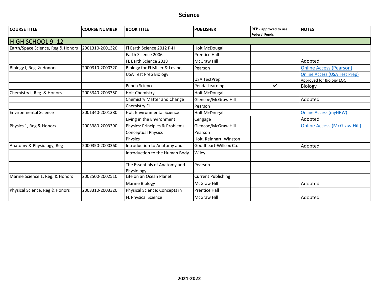| <b>COURSE TITLE</b>               | <b>COURSE NUMBER</b> | <b>BOOK TITLE</b>                           | <b>PUBLISHER</b>          | RFP - approved to use<br><b>Federal Funds</b> | <b>NOTES</b>                                                     |
|-----------------------------------|----------------------|---------------------------------------------|---------------------------|-----------------------------------------------|------------------------------------------------------------------|
| <b>HIGH SCHOOL 9-12</b>           |                      |                                             |                           |                                               |                                                                  |
| Earth/Space Science, Reg & Honors | 2001310-2001320      | Fl Earth Science 2012 P-H                   | <b>Holt McDougal</b>      |                                               |                                                                  |
|                                   |                      | Earth Science 2006                          | <b>Prentice Hall</b>      |                                               |                                                                  |
|                                   |                      | FL Earth Science 2018                       | McGraw Hill               |                                               | Adopted                                                          |
| Biology I, Reg. & Honors          | 2000310-2000320      | Biology for Fl Miller & Levine,             | Pearson                   |                                               | <b>Online Access (Pearson)</b>                                   |
|                                   |                      | USA Test Prep Biology                       | <b>USA TestPrep</b>       |                                               | <b>Online Access (USA Test Prep)</b><br>Approved for Biology EOC |
|                                   |                      | Penda Science                               | Penda Learning            | ✓                                             | Biology                                                          |
| Chemistry I, Reg. & Honors        | 2003340-2003350      | <b>Holt Chemistry</b>                       | <b>Holt McDougal</b>      |                                               |                                                                  |
|                                   |                      | <b>Chemistry Matter and Change</b>          | Glencoe/McGraw Hill       |                                               | Adopted                                                          |
|                                   |                      | Chemistry FL                                | Pearson                   |                                               |                                                                  |
| <b>Environmental Science</b>      | 2001340-2001380      | <b>Holt Environmental Science</b>           | <b>Holt McDougal</b>      |                                               | <b>Online Access (myHRW)</b>                                     |
|                                   |                      | Living in the Environment                   | Cengage                   |                                               | Adopted                                                          |
| Physics 1, Reg & Honors           | 2003380-2003390      | Physics: Principles & Problems              | Glencoe/McGraw Hill       |                                               | <b>Online Access (McGraw Hill)</b>                               |
|                                   |                      | <b>Conceptual Physics</b>                   | Pearson                   |                                               |                                                                  |
|                                   |                      | Physics                                     | Holt, Reinhart, Winston   |                                               |                                                                  |
| Anatomy & Physiology, Reg         | 2000350-2000360      | Introduction to Anatomy and                 | Goodheart-Willcox Co.     |                                               | Adopted                                                          |
|                                   |                      | Introduction to the Human Body              | Wiley                     |                                               |                                                                  |
|                                   |                      | The Essentials of Anatomy and<br>Physiology | Pearson                   |                                               |                                                                  |
| Marine Science 1, Reg. & Honors   | 2002500-2002510      | Life on an Ocean Planet                     | <b>Current Publishing</b> |                                               |                                                                  |
|                                   |                      | <b>Marine Biology</b>                       | <b>McGraw Hill</b>        |                                               | Adopted                                                          |
| Physical Science, Reg & Honors    | 2003310-2003320      | Physical Science: Concepts in               | <b>Prentice Hall</b>      |                                               |                                                                  |
|                                   |                      | FL Physical Science                         | <b>McGraw Hill</b>        |                                               | Adopted                                                          |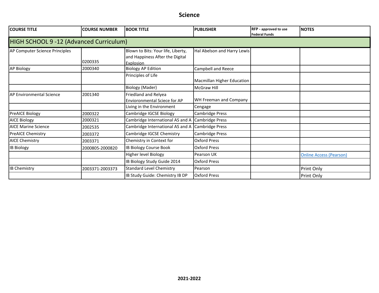| <b>COURSE TITLE</b>                     | <b>COURSE NUMBER</b> | <b>BOOK TITLE</b>                                                                  | <b>PUBLISHER</b>                  | <b>RFP</b> - approved to use<br><b>Federal Funds</b> | <b>NOTES</b>                   |
|-----------------------------------------|----------------------|------------------------------------------------------------------------------------|-----------------------------------|------------------------------------------------------|--------------------------------|
| HIGH SCHOOL 9 -12 (Advanced Curriculum) |                      |                                                                                    |                                   |                                                      |                                |
| AP Computer Science Principles          | 0200335              | Blown to Bits: Your life, Liberty,<br>and Happiness After the Digital<br>Explosion | Hal Abelson and Harry Lewis       |                                                      |                                |
| <b>AP Biology</b>                       | 2000340              | <b>Biology AP Edition</b>                                                          | Campbell and Reece                |                                                      |                                |
|                                         |                      | Principles of Life                                                                 | <b>Macmillan Higher Education</b> |                                                      |                                |
|                                         |                      | <b>Biology (Mader)</b>                                                             | <b>McGraw Hill</b>                |                                                      |                                |
| <b>AP Environmental Science</b>         | 2001340              | Friedland and Relyea<br><b>Envioronmental Sciece for AP</b>                        | WH Freeman and Company            |                                                      |                                |
|                                         |                      | Living in the Environment                                                          | Cengage                           |                                                      |                                |
| PreAICE Biology                         | 2000322              | Cambridge IGCSE Biology                                                            | Cambridge Press                   |                                                      |                                |
| <b>AICE Biology</b>                     | 2000321              | Cambridge International AS and A                                                   | <b>Cambridge Press</b>            |                                                      |                                |
| <b>AICE Marine Science</b>              | 2002535              | Cambridge International AS and A                                                   | Cambridge Press                   |                                                      |                                |
| <b>PreAICE Chemistry</b>                | 2003372              | Cambridge IGCSE Chemistry                                                          | Cambridge Press                   |                                                      |                                |
| <b>AICE Chemistry</b>                   | 2003371              | Chemistry in Context for                                                           | <b>Oxford Press</b>               |                                                      |                                |
| <b>IB Biology</b>                       | 2000805-2000820      | IB Biology Course Book                                                             | <b>Oxford Press</b>               |                                                      |                                |
|                                         |                      | Higher level Biology                                                               | Pearson UK                        |                                                      | <b>Online Access (Pearson)</b> |
|                                         |                      | IB Biology Study Guide 2014                                                        | <b>Oxford Press</b>               |                                                      |                                |
| <b>IB Chemistry</b>                     | 2003371-2003373      | <b>Standard Level Chemistry</b>                                                    | Pearson                           |                                                      | Print Only                     |
|                                         |                      | IB Study Guide: Chemistry IB DP                                                    | <b>Oxford Press</b>               |                                                      | <b>Print Only</b>              |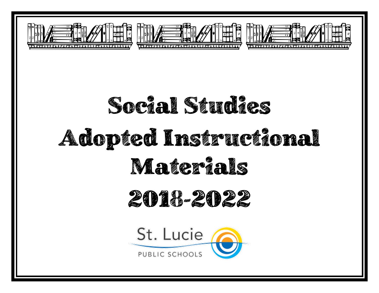





# Social Studies Adopted Instructional Materials 2018-2022St. Lucie

PUBLIC SCHOOLS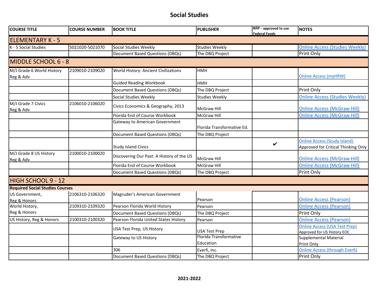#### **Social Studies**

| <b>COURSE TITLE</b>                    | <b>COURSE NUMBER</b> | <b>BOOK TITLE</b>                           | <b>PUBLISHER</b>                    | RFP - approved to use<br><b>Federal Funds</b> | <b>NOTES</b>                                                               |
|----------------------------------------|----------------------|---------------------------------------------|-------------------------------------|-----------------------------------------------|----------------------------------------------------------------------------|
| <b>ELEMENTARY K - 5</b>                |                      |                                             |                                     |                                               |                                                                            |
| K - 5 Social Studies                   | 5021020-5021070      | Social Studies Weekly                       | <b>Studies Weekly</b>               |                                               | <b>Online Access (Studies Weekly)</b>                                      |
|                                        |                      | <b>Document Based Questions (DBQs)</b>      | The DBQ Project                     |                                               | <b>Print Only</b>                                                          |
| MIDDLE SCHOOL 6 - 8                    |                      |                                             |                                     |                                               |                                                                            |
| M/J Grade 6 World History              | 2109010-2109020      | <b>World History: Ancient Civilizations</b> | HMH                                 |                                               |                                                                            |
| Reg & Adv                              |                      |                                             |                                     |                                               | <b>Online Access (myHRW)</b>                                               |
|                                        |                      | <b>Guided Reading Workbook</b>              | <b>HMH</b>                          |                                               |                                                                            |
|                                        |                      | Document Based Questions (DBQs)             | The DBQ Project                     |                                               | Print Only                                                                 |
|                                        |                      | Social Studies Weekly                       | <b>Studies Weekly</b>               |                                               | <b>Online Access (Studies Weekly)</b>                                      |
| M/J Grade 7 Civics<br>Reg & Adv        | 2106010-2106020      | Civics Economics & Geography, 2013          | <b>McGraw Hill</b>                  |                                               | <b>Online Access (McGraw Hill)</b>                                         |
|                                        |                      | Florida End of Course Workbook              | McGraw Hill                         |                                               | <b>Online Access (McGraw Hill)</b>                                         |
|                                        |                      | <b>Gateway to American Government</b>       | Florida Transformative Ed.          |                                               |                                                                            |
|                                        |                      | <b>Document Based Questions (DBQs)</b>      | The DBQ Project                     |                                               |                                                                            |
|                                        |                      | <b>Study Island Civics</b>                  |                                     | V                                             | <b>Online Access (Study Island)</b><br>Approved for Critical Thinking Only |
| M/J Grade 8 US History<br>Reg & Adv    | 2100010-2100020      | Discovering Our Past: A History of the US   | <b>McGraw Hill</b>                  |                                               | <b>Online Access (McGraw Hill)</b>                                         |
|                                        |                      | Florida End of Course Workbook              | McGraw Hill                         |                                               | <b>Online Access (McGraw Hill)</b>                                         |
|                                        |                      | <b>Document Based Questions (DBQs)</b>      | The DBQ Project                     |                                               | Print Only                                                                 |
| HIGH SCHOOL 9 - 12                     |                      |                                             |                                     |                                               |                                                                            |
| <b>Required Social Studies Courses</b> |                      |                                             |                                     |                                               |                                                                            |
| US Government,<br>Reg & Honors         | 2106310-2106320      | Magruder's American Government              | Pearson                             |                                               | <b>Online Access (Pearson)</b>                                             |
| World History,                         | 2109310-2109320      | Pearson Florida World History               | Pearson                             |                                               | <b>Online Access (Pearson)</b>                                             |
| Reg & Honors                           |                      | Document Based Questions (DBQs)             | The DBQ Project                     |                                               | Print Only                                                                 |
| US History, Reg & Honors               | 2100310-2100320      | Pearson Florida United States History       | Pearson                             |                                               | <b>Online Access (Pearson)</b>                                             |
|                                        |                      | USA Test Prep, US History                   | <b>USA Test Prep</b>                |                                               | <b>Online Access (USA Test Prep)</b><br>Approved for US History EOC        |
|                                        |                      | Gateway to US History                       | Florida Transformative<br>Education |                                               | <b>Supplemental Material</b><br>Print Only                                 |
|                                        |                      | 306                                         | Everfi, Inc.                        |                                               | <b>Online Access (through Everfi)</b>                                      |
|                                        |                      | Document Based Questions (DBQs)             | The DBQ Project                     |                                               | <b>Print Only</b>                                                          |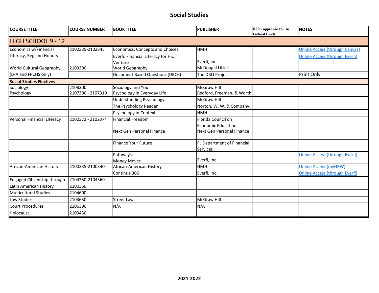#### **Social Studies**

| <b>COURSE TITLE</b>             | <b>COURSE NUMBER</b> | <b>BOOK TITLE</b>                             | <b>PUBLISHER</b>                       | RFP - approved to use<br><b>Federal Funds</b> | <b>NOTES</b>                          |
|---------------------------------|----------------------|-----------------------------------------------|----------------------------------------|-----------------------------------------------|---------------------------------------|
| HIGH SCHOOL 9 - 12              |                      |                                               |                                        |                                               |                                       |
| Economics w/Financial           | 2102335-2102345      | <b>Economics: Concepts and Choices</b>        | <b>HMH</b>                             |                                               | <b>Online Access (through Canvas)</b> |
| Literacy, Reg and Honors        |                      | Everfi: Financial Literacy for HS;<br>Venture | Everfi, Inc.                           |                                               | <b>Online Access (through Everfi)</b> |
| <b>World Cultural Geography</b> | 2103300              | World Geography                               | <b>McDougal Littell</b>                |                                               |                                       |
| (LPA and FPCHS only)            |                      | <b>Document Based Questions (DBQs)</b>        | The DBQ Project                        |                                               | Print Only                            |
| <b>Social Studies Electives</b> |                      |                                               |                                        |                                               |                                       |
| Sociology                       | 2108300              | Sociology and You                             | <b>McGraw Hill</b>                     |                                               |                                       |
| Psychology                      | 2107300 - 2107310    | Psychology in Everyday Life                   | Bedford, Freeman, & Worth              |                                               |                                       |
|                                 |                      | <b>Understanding Psychology</b>               | <b>McGraw Hill</b>                     |                                               |                                       |
|                                 |                      | The Psychology Reader                         | Norton, W. W. & Company,               |                                               |                                       |
|                                 |                      | Psychology in Context                         | <b>HMH</b>                             |                                               |                                       |
| Personal Financial Literacy     | 2102372 - 2102374    | <b>Financial Freedom</b>                      | Florida Council on                     |                                               |                                       |
|                                 |                      |                                               | <b>Economic Education</b>              |                                               |                                       |
|                                 |                      | Next Gen Personal Finance                     | Next Gen Personal Finance              |                                               |                                       |
|                                 |                      | <b>Finance Your Future</b>                    | FL Department of Financial<br>Services |                                               |                                       |
|                                 |                      | Pathways;                                     |                                        |                                               | <b>Online Access (through Everfi)</b> |
|                                 |                      | <b>Money Moves</b>                            | Everfi, Inc.                           |                                               |                                       |
| African-American History        | 2100335-2100340      | African-American History                      | <b>HMH</b>                             |                                               | <b>Online Access (myHRW)</b>          |
|                                 |                      | Continue 306                                  | Everfi, Inc.                           |                                               | <b>Online Access (through Everfi)</b> |
| Engaged Citizenship through     | 2104350-2104360      |                                               |                                        |                                               |                                       |
| Latin American History          | 2100360              |                                               |                                        |                                               |                                       |
| <b>Multicultural Studies</b>    | 2104600              |                                               |                                        |                                               |                                       |
| Law Studies                     | 2103650              | <b>Street Law</b>                             | McGraw Hill                            |                                               |                                       |
| <b>Court Procedures</b>         | 2106390              | N/A                                           | N/A                                    |                                               |                                       |
| Holocaust                       | 2109430              |                                               |                                        |                                               |                                       |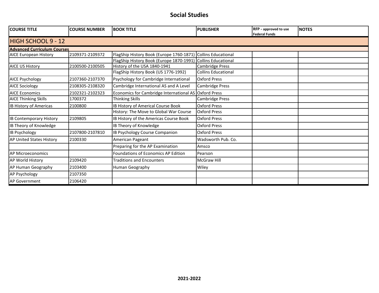#### **Social Studies**

| <b>COURSE TITLE</b>                | <b>COURSE NUMBER</b> | <b>BOOK TITLE</b>                                     | <b>PUBLISHER</b>           | RFP - approved to use<br><b>Federal Funds</b> | <b>NOTES</b> |  |  |  |  |  |
|------------------------------------|----------------------|-------------------------------------------------------|----------------------------|-----------------------------------------------|--------------|--|--|--|--|--|
| <b>HIGH SCHOOL 9 - 12</b>          |                      |                                                       |                            |                                               |              |  |  |  |  |  |
| <b>Advanced Curriculum Courses</b> |                      |                                                       |                            |                                               |              |  |  |  |  |  |
| <b>AICE European History</b>       | 2109371-2109372      | FlagShip History Book (Europe 1760-1871)              | Collins Educational        |                                               |              |  |  |  |  |  |
|                                    |                      | FlagShip History Book (Europe 1870-1991)              | <b>Collins Educational</b> |                                               |              |  |  |  |  |  |
| <b>AICE US History</b>             | 2100500-2100505      | History of the USA 1840-1941                          | Cambridge Press            |                                               |              |  |  |  |  |  |
|                                    |                      | FlagShip History Book (US 1776-1992)                  | <b>Collins Educational</b> |                                               |              |  |  |  |  |  |
| <b>AICE Psychology</b>             | 2107360-2107370      | Psychology for Cambridge International                | Oxford Press               |                                               |              |  |  |  |  |  |
| <b>AICE Sociology</b>              | 2108305-2108320      | Cambridge International AS and A Level                | Cambridge Press            |                                               |              |  |  |  |  |  |
| <b>AICE Economics</b>              | 2102321-2102323      | Economics for Cambridge International AS Oxford Press |                            |                                               |              |  |  |  |  |  |
| <b>AICE Thinking Skills</b>        | 1700372              | <b>Thinking Skills</b>                                | Cambridge Press            |                                               |              |  |  |  |  |  |
| <b>IB History of Americas</b>      | 2100800              | IB History of Americal Course Book                    | <b>Oxford Press</b>        |                                               |              |  |  |  |  |  |
|                                    |                      | History: The Move to Global War Course                | <b>Oxford Press</b>        |                                               |              |  |  |  |  |  |
| <b>IB Contemporary History</b>     | 2109805              | IB History of the Americas Course Book                | <b>Oxford Press</b>        |                                               |              |  |  |  |  |  |
| IB Theory of Knowledge             |                      | IB Theory of Knowledge                                | <b>Oxford Press</b>        |                                               |              |  |  |  |  |  |
| <b>IB Psychology</b>               | 2107800-2107810      | IB Psychology Course Companion                        | <b>Oxford Press</b>        |                                               |              |  |  |  |  |  |
| AP United States History           | 2100330              | American Pageant                                      | Wadsworth Pub. Co.         |                                               |              |  |  |  |  |  |
|                                    |                      | Preparing for the AP Examination                      | Amsco                      |                                               |              |  |  |  |  |  |
| AP Microeconomics                  |                      | Foundations of Economics AP Edition                   | Pearson                    |                                               |              |  |  |  |  |  |
| <b>AP World History</b>            | 2109420              | <b>Traditions and Encounters</b>                      | <b>McGraw Hill</b>         |                                               |              |  |  |  |  |  |
| AP Human Geography                 | 2103400              | Human Geography                                       | Wiley                      |                                               |              |  |  |  |  |  |
| <b>AP Psychology</b>               | 2107350              |                                                       |                            |                                               |              |  |  |  |  |  |
| <b>AP Government</b>               | 2106420              |                                                       |                            |                                               |              |  |  |  |  |  |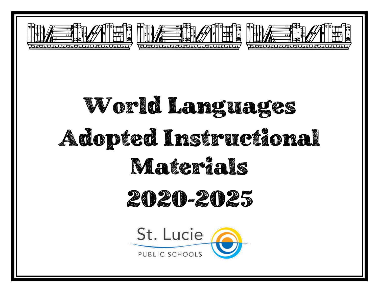

# World Languages Adopted Instructional Materials

### 2020-2025

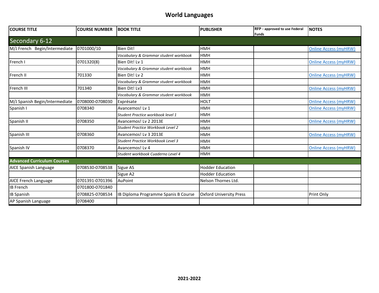#### **World Languages**

| <b>COURSE TITLE</b>                | <b>COURSE NUMBER</b> | <b>BOOK TITLE</b>                     | <b>PUBLISHER</b>               | <b>RFP</b> - approved to use Federal | <b>INOTES</b>                |
|------------------------------------|----------------------|---------------------------------------|--------------------------------|--------------------------------------|------------------------------|
|                                    |                      |                                       |                                | <b>Funds</b>                         |                              |
| Secondary 6-12                     |                      |                                       |                                |                                      |                              |
| M/J French Begin/Intermediate      | 0701000/10           | <b>Bien Dit!</b>                      | <b>HMH</b>                     |                                      | <b>Online Access (myHRW)</b> |
|                                    |                      | Vocabulary & Grammar student workbook | HMH                            |                                      |                              |
| French I                           | 0701320(8)           | Bien Dit! Lv 1                        | <b>HMH</b>                     |                                      | <b>Online Access (myHRW)</b> |
|                                    |                      | Vocabulary & Grammar student workbook | <b>HMH</b>                     |                                      |                              |
| French II                          | 701330               | Bien Dit! Lv 2                        | <b>HMH</b>                     |                                      | <b>Online Access (myHRW)</b> |
|                                    |                      | Vocabulary & Grammar student workbook | <b>HMH</b>                     |                                      |                              |
| French III                         | 701340               | Bien Dit! Lv3                         | <b>HMH</b>                     |                                      | <b>Online Access (myHRW)</b> |
|                                    |                      | Vocabulary & Grammar student workbook | <b>HMH</b>                     |                                      |                              |
| M/J Spanish Begin/Intermediate     | 0708000-0708030      | Exprésate                             | <b>HOLT</b>                    |                                      | <b>Online Access (myHRW)</b> |
| Spanish I                          | 0708340              | Avancemos! Lv 1                       | <b>HMH</b>                     |                                      | <b>Online Access (myHRW)</b> |
|                                    |                      | Student Practice workbook level 1     | HMH                            |                                      |                              |
| Spanish II                         | 0708350              | Avancemos! Lv 2 2013E                 | <b>HMH</b>                     |                                      | <b>Online Access (myHRW)</b> |
|                                    |                      | Student Practice Workbook Level 2     | <b>HMH</b>                     |                                      |                              |
| Spanish III                        | 0708360              | Avancemos! Lv 3 2013E                 | <b>HMH</b>                     |                                      | <b>Online Access (myHRW)</b> |
|                                    |                      | Student Practice Workbook Level 3     | <b>HMH</b>                     |                                      |                              |
| Spanish IV                         | 0708370              | Avancemos! Lv 4                       | <b>HMH</b>                     |                                      | <b>Online Access (myHRW)</b> |
|                                    |                      | Student workbook Cuaderno Level 4     | <b>HMH</b>                     |                                      |                              |
| <b>Advanced Curriculum Courses</b> |                      |                                       |                                |                                      |                              |
| AICE Spanish Language              | 0708530-0708538      | Sigue AS                              | <b>Hodder Education</b>        |                                      |                              |
|                                    |                      | Sigue A2                              | <b>Hodder Education</b>        |                                      |                              |
| <b>AICE French Language</b>        | 0701391-0701396      | AuPoint                               | Nelson Thornes Ltd.            |                                      |                              |
| <b>IB French</b>                   | 0701800-0701840      |                                       |                                |                                      |                              |
| <b>IB Spanish</b>                  | 0708825-0708534      | IB Diploma Programme Spanis B Course  | <b>Oxford University Press</b> |                                      | Print Only                   |
| AP Spanish Language                | 0708400              |                                       |                                |                                      |                              |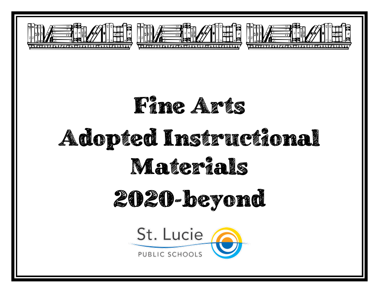





## Adopted Instructional Materials

## 2020-beyond

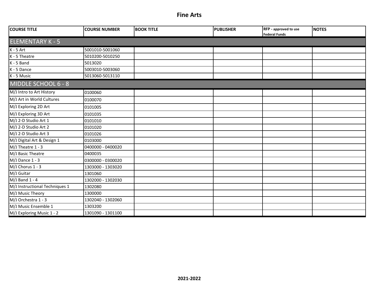| <b>COURSE TITLE</b>            | <b>COURSE NUMBER</b> | <b>BOOK TITLE</b> | <b>PUBLISHER</b> | RFP - approved to use<br><b>Federal Funds</b> | <b>NOTES</b> |  |  |  |
|--------------------------------|----------------------|-------------------|------------------|-----------------------------------------------|--------------|--|--|--|
| <b>ELEMENTARY K - 5</b>        |                      |                   |                  |                                               |              |  |  |  |
| $K - 5$ Art                    | 5001010-5001060      |                   |                  |                                               |              |  |  |  |
| K - 5 Theatre                  | 5010200-5010250      |                   |                  |                                               |              |  |  |  |
| $K - 5$ Band                   | 5013020              |                   |                  |                                               |              |  |  |  |
| K - 5 Dance                    | 5003010-5003060      |                   |                  |                                               |              |  |  |  |
| K - 5 Music                    | 5013060-5013110      |                   |                  |                                               |              |  |  |  |
| MIDDLE SCHOOL 6 - 8            |                      |                   |                  |                                               |              |  |  |  |
| M/J Intro to Art History       | 0100060              |                   |                  |                                               |              |  |  |  |
| M/J Art in World Cultures      | 0100070              |                   |                  |                                               |              |  |  |  |
| M/J Exploring 2D Art           | 0101005              |                   |                  |                                               |              |  |  |  |
| M/J Exploring 3D Art           | 0101035              |                   |                  |                                               |              |  |  |  |
| M/J 2-D Studio Art 1           | 0101010              |                   |                  |                                               |              |  |  |  |
| M/J 2-D Studio Art 2           | 0101020              |                   |                  |                                               |              |  |  |  |
| M/J 2-D Studio Art 3           | 0101026              |                   |                  |                                               |              |  |  |  |
| M/J Digital Art & Design 1     | 0103000              |                   |                  |                                               |              |  |  |  |
| M/J Theatre 1 - 3              | 0400000 - 0400020    |                   |                  |                                               |              |  |  |  |
| M/J Basic Theatre              | 0400035              |                   |                  |                                               |              |  |  |  |
| $\overline{M}/J$ Dance 1 - 3   | 0300000 - 0300020    |                   |                  |                                               |              |  |  |  |
| M/J Chorus 1 - 3               | 1303000 - 1303020    |                   |                  |                                               |              |  |  |  |
| M/J Guitar                     | 1301060              |                   |                  |                                               |              |  |  |  |
| $M/J$ Band 1 - 4               | 1302000 - 1302030    |                   |                  |                                               |              |  |  |  |
| M/J Instructional Techniques 1 | 1302080              |                   |                  |                                               |              |  |  |  |
| M/J Music Theory               | 1300000              |                   |                  |                                               |              |  |  |  |
| M/J Orchestra 1 - 3            | 1302040 - 1302060    |                   |                  |                                               |              |  |  |  |
| M/J Music Ensemble 1           | 1303200              |                   |                  |                                               |              |  |  |  |
| M/J Exploring Music 1 - 2      | 1301090 - 1301100    |                   |                  |                                               |              |  |  |  |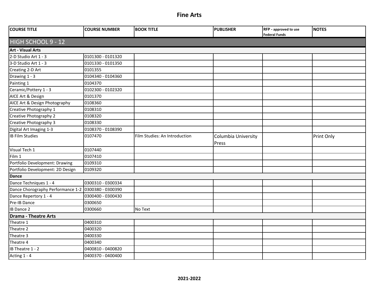| <b>COURSE TITLE</b>               | <b>COURSE NUMBER</b> | <b>BOOK TITLE</b>             | <b>PUBLISHER</b>             | RFP - approved to use<br><b>Federal Funds</b> | <b>NOTES</b> |  |  |  |  |
|-----------------------------------|----------------------|-------------------------------|------------------------------|-----------------------------------------------|--------------|--|--|--|--|
| HIGH SCHOOL 9 - 12                |                      |                               |                              |                                               |              |  |  |  |  |
| <b>Art - Visual Arts</b>          |                      |                               |                              |                                               |              |  |  |  |  |
| 2-D Studio Art 1 - 3              | 0101300 - 0101320    |                               |                              |                                               |              |  |  |  |  |
| 3-D Studio Art 1 - 3              | 0101330 - 0101350    |                               |                              |                                               |              |  |  |  |  |
| Creating 2-D Art                  | 0101355              |                               |                              |                                               |              |  |  |  |  |
| Drawing 1 - 3                     | 0104340 - 0104360    |                               |                              |                                               |              |  |  |  |  |
| Painting 1                        | 0104370              |                               |                              |                                               |              |  |  |  |  |
| Ceramic/Pottery 1 - 3             | 0102300 - 0102320    |                               |                              |                                               |              |  |  |  |  |
| AICE Art & Design                 | 0101370              |                               |                              |                                               |              |  |  |  |  |
| AICE Art & Design Photography     | 0108360              |                               |                              |                                               |              |  |  |  |  |
| Creative Photography 1            | 0108310              |                               |                              |                                               |              |  |  |  |  |
| Creative Photography 2            | 0108320              |                               |                              |                                               |              |  |  |  |  |
| Creative Photography 3            | 0108330              |                               |                              |                                               |              |  |  |  |  |
| Digital Art Imaging 1-3           | 0108370 - 0108390    |                               |                              |                                               |              |  |  |  |  |
| <b>IB Film Studies</b>            | 0107470              | Film Studies: An Introduction | Columbia University<br>Press |                                               | Print Only   |  |  |  |  |
| Visual Tech 1                     | 0107440              |                               |                              |                                               |              |  |  |  |  |
| Film 1                            | 0107410              |                               |                              |                                               |              |  |  |  |  |
| Portfolio Development: Drawing    | 0109310              |                               |                              |                                               |              |  |  |  |  |
| Portfolio Development: 2D Design  | 0109320              |                               |                              |                                               |              |  |  |  |  |
| Dance                             |                      |                               |                              |                                               |              |  |  |  |  |
| Dance Techniques 1 - 4            | 0300310 - 0300334    |                               |                              |                                               |              |  |  |  |  |
| Dance Chorography Performance 1-2 | 0300380 - 0300390    |                               |                              |                                               |              |  |  |  |  |
| Dance Repertory 1 - 4             | 0300400 - 0300430    |                               |                              |                                               |              |  |  |  |  |
| Pre-IB Dance                      | 0300650              |                               |                              |                                               |              |  |  |  |  |
| <b>IB Dance 2</b>                 | 0300660              | No Text                       |                              |                                               |              |  |  |  |  |
| <b>Drama - Theatre Arts</b>       |                      |                               |                              |                                               |              |  |  |  |  |
| Theatre 1                         | 0400310              |                               |                              |                                               |              |  |  |  |  |
| Theatre 2                         | 0400320              |                               |                              |                                               |              |  |  |  |  |
| Theatre 3                         | 0400330              |                               |                              |                                               |              |  |  |  |  |
| Theatre 4                         | 0400340              |                               |                              |                                               |              |  |  |  |  |
| IB Theatre 1 - 2                  | 0400810 - 0400820    |                               |                              |                                               |              |  |  |  |  |
| Acting 1 - 4                      | 0400370 - 0400400    |                               |                              |                                               |              |  |  |  |  |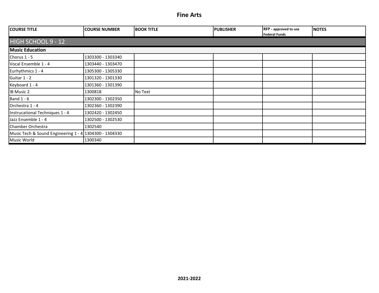| <b>COURSE TITLE</b>                                    | <b>COURSE NUMBER</b> | <b>BOOK TITLE</b> | <b>PUBLISHER</b> | <b>RFP</b> - approved to use<br>Federal Funds | <b>NOTES</b> |  |  |  |  |
|--------------------------------------------------------|----------------------|-------------------|------------------|-----------------------------------------------|--------------|--|--|--|--|
| <b>HIGH SCHOOL 9 - 12</b>                              |                      |                   |                  |                                               |              |  |  |  |  |
| <b>Music Education</b>                                 |                      |                   |                  |                                               |              |  |  |  |  |
| Chorus $1 - 5$                                         | 1303300 - 1303340    |                   |                  |                                               |              |  |  |  |  |
| Vocal Ensemble 1 - 4                                   | 1303440 - 1303470    |                   |                  |                                               |              |  |  |  |  |
| Eurhythmics 1 - 4                                      | 1305300 - 1305330    |                   |                  |                                               |              |  |  |  |  |
| Guitar 1 - 2                                           | 1301320 - 1301330    |                   |                  |                                               |              |  |  |  |  |
| Keyboard 1 - 4                                         | 1301360 - 1301390    |                   |                  |                                               |              |  |  |  |  |
| <b>IB Music 2</b>                                      | 1300818              | No Text           |                  |                                               |              |  |  |  |  |
| Band $1 - 6$                                           | 1302300 - 1302350    |                   |                  |                                               |              |  |  |  |  |
| Orchestra 1 - 4                                        | 1302360 - 1302390    |                   |                  |                                               |              |  |  |  |  |
| Instrucational Techniques 1 - 4                        | 1302420 - 1302450    |                   |                  |                                               |              |  |  |  |  |
| Jazz Ensemble 1 - 4                                    | 1302500 - 1302530    |                   |                  |                                               |              |  |  |  |  |
| Chamber Orchestra                                      | 1302540              |                   |                  |                                               |              |  |  |  |  |
| Music Tech & Sound Engineering 1 - 4 1304300 - 1304330 |                      |                   |                  |                                               |              |  |  |  |  |
| Music World                                            | 1300340              |                   |                  |                                               |              |  |  |  |  |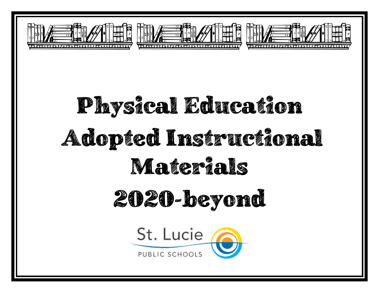





# Physical Education Adopted Instructional Materials

## 2020-beyond

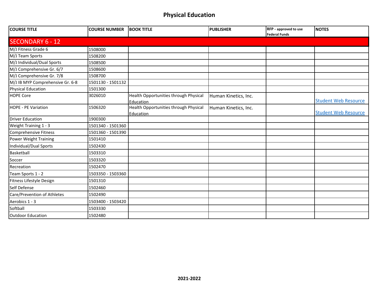#### **Physical Education**

| <b>COURSE TITLE</b>              | <b>COURSE NUMBER</b> | <b>BOOK TITLE</b>                                  | <b>PUBLISHER</b>     | RFP - approved to use<br><b>Federal Funds</b> | <b>NOTES</b>                |
|----------------------------------|----------------------|----------------------------------------------------|----------------------|-----------------------------------------------|-----------------------------|
| <b>SECONDARY 6 - 12</b>          |                      |                                                    |                      |                                               |                             |
| M/J Fitness Grade 6              | 1508000              |                                                    |                      |                                               |                             |
| M/J Team Sports                  | 1508200              |                                                    |                      |                                               |                             |
| M/J Individual/Dual Sports       | 1508500              |                                                    |                      |                                               |                             |
| M/J Comprehensive Gr. 6/7        | 1508600              |                                                    |                      |                                               |                             |
| M/J Comprehensive Gr. 7/8        | 1508700              |                                                    |                      |                                               |                             |
| M/J IB MYP Comprehensive Gr. 6-8 | 1501130 - 1501132    |                                                    |                      |                                               |                             |
| <b>Physical Education</b>        | 1501300              |                                                    |                      |                                               |                             |
| <b>HOPE Core</b>                 | 3026010              | Health Opportunities through Physical<br>Education | Human Kinetics, Inc. |                                               | <b>Student Web Resource</b> |
| <b>HOPE - PE Variation</b>       | 1506320              | Health Opportunities through Physical<br>Education | Human Kinetics, Inc. |                                               | <b>Student Web Resource</b> |
| <b>Driver Education</b>          | 1900300              |                                                    |                      |                                               |                             |
| Weight Training 1 - 3            | 1501340 - 1501360    |                                                    |                      |                                               |                             |
| <b>Comprehensive Fitness</b>     | 1501360 - 1501390    |                                                    |                      |                                               |                             |
| <b>Power Weight Training</b>     | 1501410              |                                                    |                      |                                               |                             |
| Individual/Dual Sports           | 1502430              |                                                    |                      |                                               |                             |
| Basketball                       | 1503310              |                                                    |                      |                                               |                             |
| Soccer                           | 1503320              |                                                    |                      |                                               |                             |
| Recreation                       | 1502470              |                                                    |                      |                                               |                             |
| Team Sports 1 - 2                | 1503350 - 1503360    |                                                    |                      |                                               |                             |
| Fitness Lifestyle Design         | 1501310              |                                                    |                      |                                               |                             |
| Self Defense                     | 1502460              |                                                    |                      |                                               |                             |
| Care/Prevention of Athletes      | 1502490              |                                                    |                      |                                               |                             |
| Aerobics 1 - 3                   | 1503400 - 1503420    |                                                    |                      |                                               |                             |
| Softball                         | 1503330              |                                                    |                      |                                               |                             |
| <b>Outdoor Education</b>         | 1502480              |                                                    |                      |                                               |                             |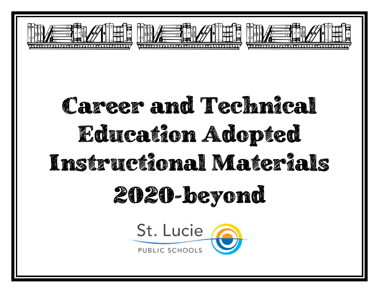





## Career and Technical Education Adopted Instructional Materials 2020-beyond

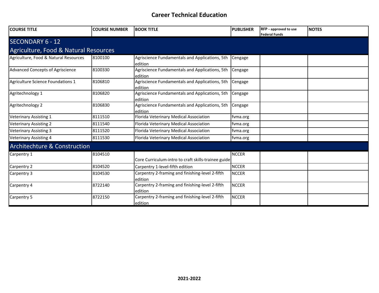| <b>COURSE TITLE</b>                     | <b>COURSE NUMBER</b> | <b>BOOK TITLE</b>                                          | <b>PUBLISHER</b> | RFP - approved to use<br><b>Federal Funds</b> | <b>NOTES</b> |
|-----------------------------------------|----------------------|------------------------------------------------------------|------------------|-----------------------------------------------|--------------|
| SECONDARY 6 - 12                        |                      |                                                            |                  |                                               |              |
| Agriculture, Food & Natural Resources   |                      |                                                            |                  |                                               |              |
| Agriculture, Food & Natural Resources   | 8100100              | Agriscience Fundamentals and Applications, 5th<br>edition  | Cengage          |                                               |              |
| <b>Advanced Concepts of Agriscience</b> | 8100330              | Agriscience Fundamentals and Applications, 5th<br>edition  | Cengage          |                                               |              |
| Agriculture Science Foundations 1       | 8106810              | Agriscience Fundamentals and Applications, 5th<br>edition  | Cengage          |                                               |              |
| Agritechnology 1                        | 8106820              | Agriscience Fundamentals and Applications, 5th<br>edition  | Cengage          |                                               |              |
| Agritechnology 2                        | 8106830              | Agriscience Fundamentals and Applications, 5th<br>edition  | Cengage          |                                               |              |
| <b>Veterinary Assisting 1</b>           | 8111510              | Florida Veterinary Medical Association                     | fvma.org         |                                               |              |
| <b>Veterinary Assisting 2</b>           | 8111540              | Florida Veterinary Medical Association                     | fvma.org         |                                               |              |
| <b>Veterinary Assisting 3</b>           | 8111520              | Florida Veterinary Medical Association                     | fvma.org         |                                               |              |
| <b>Veterinary Assisting 4</b>           | 8111530              | Florida Veterinary Medical Association                     | fvma.org         |                                               |              |
| <b>Architechture &amp; Construction</b> |                      |                                                            |                  |                                               |              |
| Carpentry 1                             | 8104510              | Core Curriculum-intro to craft skills-trainee guide        | <b>NCCER</b>     |                                               |              |
| Carpentry 2                             | 8104520              | Carpentry 1-level-fifth edition                            | <b>NCCER</b>     |                                               |              |
| Carpentry 3                             | 8104530              | Carpentry 2-framing and finishing-level 2-fifth<br>edition | <b>NCCER</b>     |                                               |              |
| Carpentry 4                             | 8722140              | Carpentry 2-framing and finishing-level 2-fifth<br>edition | <b>NCCER</b>     |                                               |              |
| Carpentry 5                             | 8722150              | Carpentry 2-framing and finishing-level 2-fifth<br>edition | <b>NCCER</b>     |                                               |              |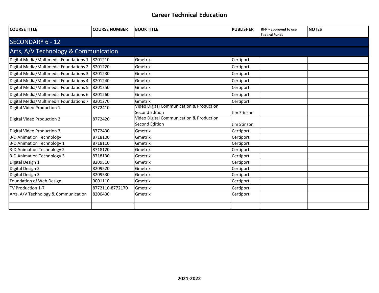| <b>COURSE TITLE</b>                    | <b>COURSE NUMBER</b> | <b>BOOK TITLE</b>                                                 | <b>PUBLISHER</b> | <b>RFP</b> - approved to use<br><b>Federal Funds</b> | <b>NOTES</b> |  |  |  |  |
|----------------------------------------|----------------------|-------------------------------------------------------------------|------------------|------------------------------------------------------|--------------|--|--|--|--|
| <b>SECONDARY 6 - 12</b>                |                      |                                                                   |                  |                                                      |              |  |  |  |  |
| Arts, A/V Technology & Communication   |                      |                                                                   |                  |                                                      |              |  |  |  |  |
| Digital Media/Multimedia Foundations 1 | 8201210              | Gmetrix                                                           | Certiport        |                                                      |              |  |  |  |  |
| Digital Media/Multimedia Foundations 2 | 8201220              | Gmetrix                                                           | Certiport        |                                                      |              |  |  |  |  |
| Digital Media/Multimedia Foundations 3 | 8201230              | Gmetrix                                                           | Certiport        |                                                      |              |  |  |  |  |
| Digital Media/Multimedia Foundations 4 | 8201240              | Gmetrix                                                           | Certiport        |                                                      |              |  |  |  |  |
| Digital Media/Multimedia Foundations 5 | 8201250              | Gmetrix                                                           | Certiport        |                                                      |              |  |  |  |  |
| Digital Media/Multimedia Foundations 6 | 8201260              | Gmetrix                                                           | Certiport        |                                                      |              |  |  |  |  |
| Digital Media/Multimedia Foundations 7 | 8201270              | Gmetrix                                                           | Certiport        |                                                      |              |  |  |  |  |
| Digital Video Production 1             | 8772410              | Video Digital Communication & Production<br>Second Edition        | Jim Stinson      |                                                      |              |  |  |  |  |
| Digital Video Production 2             | 8772420              | Video Digital Communication & Production<br><b>Second Edition</b> | Jim Stinson      |                                                      |              |  |  |  |  |
| Digital Video Production 3             | 8772430              | Gmetrix                                                           | Certiport        |                                                      |              |  |  |  |  |
| 3-D Animation Technology               | 8718100              | Gmetrix                                                           | Certiport        |                                                      |              |  |  |  |  |
| 3-D Animation Technology 1             | 8718110              | Gmetrix                                                           | Certiport        |                                                      |              |  |  |  |  |
| 3-D Animation Technology 2             | 8718120              | Gmetrix                                                           | Certiport        |                                                      |              |  |  |  |  |
| 3-D Animation Technology 3             | 8718130              | Gmetrix                                                           | Certiport        |                                                      |              |  |  |  |  |
| Digital Design 1                       | 8209510              | Gmetrix                                                           | Certiport        |                                                      |              |  |  |  |  |
| Digital Design 2                       | 8209520              | Gmetrix                                                           | Certiport        |                                                      |              |  |  |  |  |
| Digital Design 3                       | 8209530              | Gmetrix                                                           | Certiport        |                                                      |              |  |  |  |  |
| Foundation of Web Design               | 9001110              | Gmetrix                                                           | Certiport        |                                                      |              |  |  |  |  |
| TV Production 1-7                      | 8772110-8772170      | Gmetrix                                                           | Certiport        |                                                      |              |  |  |  |  |
| Arts, A/V Technology & Communication   | 8200430              | Gmetrix                                                           | Certiport        |                                                      |              |  |  |  |  |
|                                        |                      |                                                                   |                  |                                                      |              |  |  |  |  |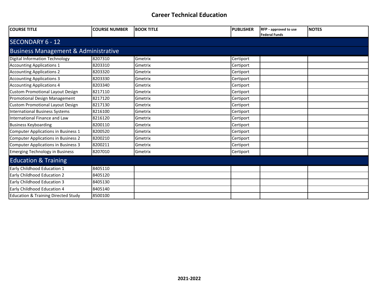| <b>COURSE TITLE</b>                             | <b>COURSE NUMBER</b> | <b>BOOK TITLE</b> | <b>PUBLISHER</b> | <b>RFP</b> - approved to use<br><b>Federal Funds</b> | <b>NOTES</b> |  |  |  |  |
|-------------------------------------------------|----------------------|-------------------|------------------|------------------------------------------------------|--------------|--|--|--|--|
| <b>SECONDARY 6 - 12</b>                         |                      |                   |                  |                                                      |              |  |  |  |  |
| <b>Business Management &amp; Administrative</b> |                      |                   |                  |                                                      |              |  |  |  |  |
| <b>Digital Information Technology</b>           | 8207310              | Gmetrix           | Certiport        |                                                      |              |  |  |  |  |
| <b>Accounting Applications 1</b>                | 8203310              | Gmetrix           | Certiport        |                                                      |              |  |  |  |  |
| <b>Accounting Applications 2</b>                | 8203320              | Gmetrix           | Certiport        |                                                      |              |  |  |  |  |
| <b>Accounting Applications 3</b>                | 8203330              | Gmetrix           | Certiport        |                                                      |              |  |  |  |  |
| <b>Accounting Applications 4</b>                | 8203340              | Gmetrix           | Certiport        |                                                      |              |  |  |  |  |
| <b>Custom Promotional Layout Design</b>         | 8217110              | Gmetrix           | Certiport        |                                                      |              |  |  |  |  |
| Promotional Design Management                   | 8217120              | Gmetrix           | Certiport        |                                                      |              |  |  |  |  |
| <b>Custom Promotional Layout Design</b>         | 8217130              | Gmetrix           | Certiport        |                                                      |              |  |  |  |  |
| <b>International Business Systems</b>           | 8216100              | Gmetrix           | Certiport        |                                                      |              |  |  |  |  |
| International Finance and Law                   | 8216120              | Gmetrix           | Certiport        |                                                      |              |  |  |  |  |
| <b>Business Keyboarding</b>                     | 8200110              | Gmetrix           | Certiport        |                                                      |              |  |  |  |  |
| Computer Applications in Business 1             | 8200520              | Gmetrix           | Certiport        |                                                      |              |  |  |  |  |
| <b>Computer Applications in Business 2</b>      | 8200210              | Gmetrix           | Certiport        |                                                      |              |  |  |  |  |
| Computer Applications in Business 3             | 8200211              | Gmetrix           | Certiport        |                                                      |              |  |  |  |  |
| <b>Emerging Technology in Business</b>          | 8207010              | Gmetrix           | Certiport        |                                                      |              |  |  |  |  |
| <b>Education &amp; Training</b>                 |                      |                   |                  |                                                      |              |  |  |  |  |
| Early Childhood Education 1                     | 8405110              |                   |                  |                                                      |              |  |  |  |  |
| Early Childhood Education 2                     | 8405120              |                   |                  |                                                      |              |  |  |  |  |
| Early Childhood Education 3                     | 8405130              |                   |                  |                                                      |              |  |  |  |  |
| Early Childhood Education 4                     | 8405140              |                   |                  |                                                      |              |  |  |  |  |
| <b>Education &amp; Training Directed Study</b>  | 8500100              |                   |                  |                                                      |              |  |  |  |  |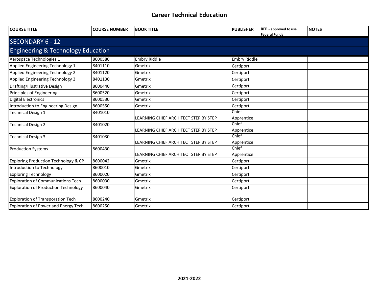| <b>COURSE TITLE</b>                           | <b>COURSE NUMBER</b> | <b>BOOK TITLE</b>                     | <b>PUBLISHER</b>    | <b>RFP</b> - approved to use<br><b>Federal Funds</b> | <b>INOTES</b> |  |  |  |
|-----------------------------------------------|----------------------|---------------------------------------|---------------------|------------------------------------------------------|---------------|--|--|--|
| <b>SECONDARY 6 - 12</b>                       |                      |                                       |                     |                                                      |               |  |  |  |
| <b>Engineering &amp; Technology Education</b> |                      |                                       |                     |                                                      |               |  |  |  |
| Aerospace Technologies 1                      | 8600580              | Embry Riddle                          | <b>Embry Riddle</b> |                                                      |               |  |  |  |
| Applied Engineering Technology 1              | 8401110              | Gmetrix                               | Certiport           |                                                      |               |  |  |  |
| Applied Engineering Technology 2              | 8401120              | Gmetrix                               | Certiport           |                                                      |               |  |  |  |
| Applied Engineering Technology 3              | 8401130              | Gmetrix                               | Certiport           |                                                      |               |  |  |  |
| Drafting/Illustrative Design                  | 8600440              | Gmetrix                               | Certiport           |                                                      |               |  |  |  |
| Principles of Engineering                     | 8600520              | Gmetrix                               | Certiport           |                                                      |               |  |  |  |
| Digital Electronics                           | 8600530              | Gmetrix                               | Certiport           |                                                      |               |  |  |  |
| Introduction to Engineering Design            | 8600550              | Gmetrix                               | Certiport           |                                                      |               |  |  |  |
| <b>Technical Design 1</b>                     | 8401010              | LEARNING CHIEF ARCHITECT STEP BY STEP | Chief<br>Apprentice |                                                      |               |  |  |  |
| <b>Technical Design 2</b>                     | 8401020              | LEARNING CHIEF ARCHITECT STEP BY STEP | Chief<br>Apprentice |                                                      |               |  |  |  |
| Technical Design 3                            | 8401030              | LEARNING CHIEF ARCHITECT STEP BY STEP | Chief<br>Apprentice |                                                      |               |  |  |  |
| <b>Production Systems</b>                     | 8600430              | LEARNING CHIEF ARCHITECT STEP BY STEP | Chief<br>Apprentice |                                                      |               |  |  |  |
| Exploring Production Technology & CP          | 8600042              | Gmetrix                               | Certiport           |                                                      |               |  |  |  |
| Introduction to Technology                    | 8600010              | Gmetrix                               | Certiport           |                                                      |               |  |  |  |
| <b>Exploring Technology</b>                   | 8600020              | Gmetrix                               | Certiport           |                                                      |               |  |  |  |
| <b>Exploration of Communications Tech</b>     | 8600030              | Gmetrix                               | Certiport           |                                                      |               |  |  |  |
| <b>Exploration of Production Technology</b>   | 8600040              | Gmetrix                               | Certiport           |                                                      |               |  |  |  |
| Exploration of Transporation Tech             | 8600240              | Gmetrix                               | Certiport           |                                                      |               |  |  |  |
| Exploration of Power and Energy Tech          | 8600250              | Gmetrix                               | Certiport           |                                                      |               |  |  |  |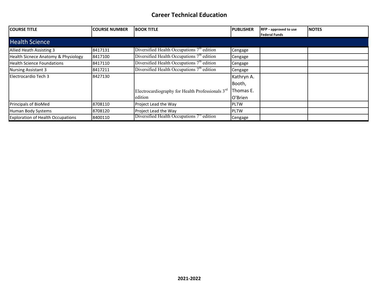| <b>COURSE TITLE</b>                      | <b>COURSE NUMBER</b> | <b>BOOK TITLE</b>                                            | <b>PUBLISHER</b> | <b>RFP</b> - approved to use<br><b>Federal Funds</b> | <b>INOTES</b> |
|------------------------------------------|----------------------|--------------------------------------------------------------|------------------|------------------------------------------------------|---------------|
| <b>Health Science</b>                    |                      |                                                              |                  |                                                      |               |
| Allied Heath Assisting 3                 | 8417131              | Diversified Health Occupations $7m$ edition                  | Cengage          |                                                      |               |
| Health Sicnece Anatomy & Physiology      | 8417100              | Diversified Health Occupations 7 <sup>th</sup> edition       | Cengage          |                                                      |               |
| <b>Health Science Foundations</b>        | 8417110              | Diversified Health Occupations $7th$ edition                 | Cengage          |                                                      |               |
| Nursing Assistant 3                      | 8417211              | Diversified Health Occupations $7th$ edition                 | Cengage          |                                                      |               |
| Electrocardio Tech 3                     | 8427130              |                                                              | Kathryn A.       |                                                      |               |
|                                          |                      |                                                              | Booth,           |                                                      |               |
|                                          |                      | Electrocardiography for Health Professionals 3 <sup>rd</sup> | Thomas E.        |                                                      |               |
|                                          |                      | edition                                                      | O'Brien          |                                                      |               |
| Principals of BioMed                     | 8708110              | Project Lead the Way                                         | <b>PLTW</b>      |                                                      |               |
| Human Body Systems                       | 8708120              | Project Lead the Way                                         | <b>PLTW</b>      |                                                      |               |
| <b>Exploration of Health Occupations</b> | 8400110              | Diversified Health Occupations $7th$ edition                 | Cengage          |                                                      |               |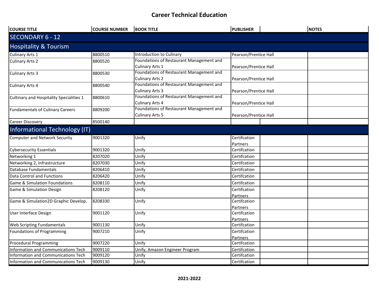| <b>COURSE TITLE</b>                      | <b>COURSE NUMBER</b> | <b>BOOK TITLE</b>                        | <b>PUBLISHER</b>      | <b>NOTES</b> |  |  |
|------------------------------------------|----------------------|------------------------------------------|-----------------------|--------------|--|--|
| <b>SECONDARY 6 - 12</b>                  |                      |                                          |                       |              |  |  |
| <b>Hospitality &amp; Tourism</b>         |                      |                                          |                       |              |  |  |
| <b>Culinary Arts 1</b>                   | 8800510              | <b>Introduction to Culinary</b>          | Pearson/Prentice Hall |              |  |  |
| <b>Culinary Arts 2</b>                   | 8800520              | Foundations of Restaurant Management and |                       |              |  |  |
|                                          |                      | <b>Culinary Arts 1</b>                   | Pearson/Prentice Hall |              |  |  |
| <b>Culinary Arts 3</b>                   | 8800530              | Foundations of Restaurant Management and |                       |              |  |  |
|                                          |                      | <b>Culinary Arts 2</b>                   | Pearson/Prentice Hall |              |  |  |
| <b>Culinary Arts 4</b>                   | 8800540              | Foundations of Restaurant Management and |                       |              |  |  |
|                                          |                      | <b>Culinary Arts 3</b>                   | Pearson/Prentice Hall |              |  |  |
| Cultinary and Hospitality Specialities 1 | 8800610              | Foundations of Restaurant Management and |                       |              |  |  |
|                                          |                      | <b>Culinary Arts 4</b>                   | Pearson/Prentice Hall |              |  |  |
| <b>Fundamentals of Culinary Careers</b>  | 8809200              | Foundations of Restaurant Management and |                       |              |  |  |
|                                          |                      | <b>Culinary Arts 5</b>                   | Pearson/Prentice Hall |              |  |  |
| <b>Career Discovery</b>                  | 8500140              |                                          |                       |              |  |  |
| Informational Technology (IT)            |                      |                                          |                       |              |  |  |
| <b>Computer and Network Security</b>     | 9001320              | Unify                                    | Certifcation          |              |  |  |
|                                          |                      |                                          | Partners              |              |  |  |
| <b>Cybersecurity Essentials</b>          | 9001320              | Unify                                    | Certifcation          |              |  |  |
| Networking 1                             | 8207020              | Unify                                    | Certifcation          |              |  |  |
| Networking 2, Infrastructure             | 8207030              | Unify                                    | Certifcation          |              |  |  |
| Database Fundamentals                    | 8206410              | Unify                                    | Certifcation          |              |  |  |
| <b>Data Control and Functions</b>        | 8206420              | Unify                                    | Certifcation          |              |  |  |
| <b>Game &amp; Simulation Foundations</b> | 8208110              | Unify                                    | Certifcation          |              |  |  |
| Game & Simulation Design                 | 8208120              | Unify                                    | Certifcation          |              |  |  |
|                                          |                      |                                          | Partners              |              |  |  |
| Game & Simulation2D Graphic Develop.     | 8208330              | Unify                                    | Certifcation          |              |  |  |
|                                          |                      |                                          | Partners              |              |  |  |
| User Interface Design                    | 9001120              | Unify                                    | Certifcation          |              |  |  |
|                                          |                      |                                          | Partners              |              |  |  |
| Web Scripting Fundamentals               | 9001130              | Unify                                    | Certifcation          |              |  |  |
| Foundations of Programming               | 9007210              | Unify                                    | Certifcation          |              |  |  |
|                                          |                      |                                          | Partners              |              |  |  |
| Procedural Programming                   | 9007220              | Unify                                    | Certifcation          |              |  |  |
| Information and Communications Tech      | 9009110              | Unify; Amazon Engineer Program           | Certifcation          |              |  |  |
| Information and Communications Tech      | 9009120              | Unify                                    | Certifcation          |              |  |  |
| Information and Communications Tech      | 9009130              | Unify                                    | Certifcation          |              |  |  |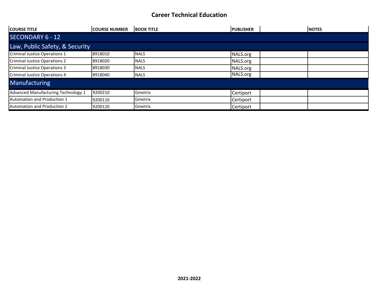| <b>COURSE TITLE</b>                 | <b>ICOURSE NUMBER</b> | <b>BOOK TITLE</b> | <b>IPUBLISHER</b> | <b>INOTES</b> |  |
|-------------------------------------|-----------------------|-------------------|-------------------|---------------|--|
| <b>SECONDARY 6 - 12</b>             |                       |                   |                   |               |  |
| Law, Public Safety, & Security      |                       |                   |                   |               |  |
| Criminal Justice Operations 1       | 8918010               | <b>NALS</b>       | NALS.org          |               |  |
| Criminal Justice Operations 2       | 8918020               | <b>NALS</b>       | NALS.org          |               |  |
| Criminal Justice Operations 3       | 8918030               | <b>NALS</b>       | NALS.org          |               |  |
| Criminal Justice Operations 4       | 8918040               | <b>NALS</b>       | NALS.org          |               |  |
| <b>Manufacturing</b>                |                       |                   |                   |               |  |
| Advanced Manufacturing Technology 1 | 9200210               | Gmetrix           | Certiport         |               |  |
| Automation and Production 1         | 9200110               | Gmetrix           | Certiport         |               |  |
| <b>Automation and Production 2</b>  | 9200120               | Gmetrix           | Certiport         |               |  |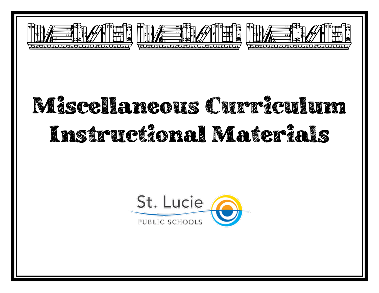





## Miscellaneous Curr<sup>e</sup>teulum Instructional Materials

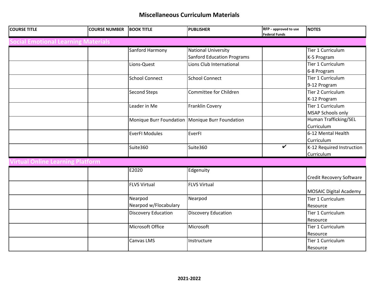#### **Miscellaneous Curriculum Materials**

| <b>COURSE TITLE</b>                        | <b>COURSE NUMBER</b> | <b>BOOK TITLE</b>                                 | <b>PUBLISHER</b>                  | RFP - approved to use<br><b>Federal Funds</b> | <b>NOTES</b>                  |  |
|--------------------------------------------|----------------------|---------------------------------------------------|-----------------------------------|-----------------------------------------------|-------------------------------|--|
| <b>Social Emotional Learning Materials</b> |                      |                                                   |                                   |                                               |                               |  |
|                                            |                      | Sanford Harmony                                   | <b>National University</b>        |                                               | Tier 1 Curriculum             |  |
|                                            |                      |                                                   | <b>Sanford Education Programs</b> |                                               | K-5 Program                   |  |
|                                            |                      | Lions-Quest                                       | Lions Club International          |                                               | Tier 1 Curriculum             |  |
|                                            |                      |                                                   |                                   |                                               | 6-8 Program                   |  |
|                                            |                      | <b>School Connect</b>                             | <b>School Connect</b>             |                                               | Tier 1 Curriculum             |  |
|                                            |                      |                                                   |                                   |                                               | 9-12 Program                  |  |
|                                            |                      | <b>Second Steps</b>                               | Committee for Children            |                                               | Tier 2 Curriculum             |  |
|                                            |                      |                                                   |                                   |                                               | K-12 Program                  |  |
|                                            |                      | Leader in Me                                      | Franklin Covery                   |                                               | Tier 1 Curriculum             |  |
|                                            |                      |                                                   |                                   |                                               | <b>MSAP Schools only</b>      |  |
|                                            |                      | Monique Burr Foundation   Monique Burr Foundation |                                   |                                               | Human Trafficking/SEL         |  |
|                                            |                      |                                                   |                                   |                                               | Curriculum                    |  |
|                                            |                      | <b>EverFI Modules</b>                             | EverFI                            |                                               | 6-12 Mental Health            |  |
|                                            |                      |                                                   |                                   | $\checkmark$                                  | Curriculum                    |  |
|                                            |                      | Suite360                                          | Suite360                          |                                               | K-12 Required Instruction     |  |
| Curriculum                                 |                      |                                                   |                                   |                                               |                               |  |
| <b>Jirtual Online Learning Platform</b>    |                      |                                                   |                                   |                                               |                               |  |
|                                            |                      | E2020                                             | Edgenuity                         |                                               |                               |  |
|                                            |                      |                                                   |                                   |                                               | Credit Recovery Software      |  |
|                                            |                      | <b>FLVS Virtual</b>                               | <b>FLVS Virtual</b>               |                                               |                               |  |
|                                            |                      |                                                   |                                   |                                               | <b>MOSAIC Digital Academy</b> |  |
|                                            |                      | Nearpod                                           | Nearpod                           |                                               | Tier 1 Curriculum             |  |
|                                            |                      | Nearpod w/Flocabulary                             |                                   |                                               | Resource                      |  |
|                                            |                      | <b>Discovery Education</b>                        | <b>Discovery Education</b>        |                                               | Tier 1 Curriculum             |  |
|                                            |                      |                                                   |                                   |                                               | Resource                      |  |
|                                            |                      | Microsoft Office                                  | Microsoft                         |                                               | Tier 1 Curriculum             |  |
|                                            |                      |                                                   |                                   |                                               | Resource                      |  |
|                                            |                      | Canvas LMS                                        | Instructure                       |                                               | Tier 1 Curriculum             |  |
|                                            |                      |                                                   |                                   |                                               | Resource                      |  |